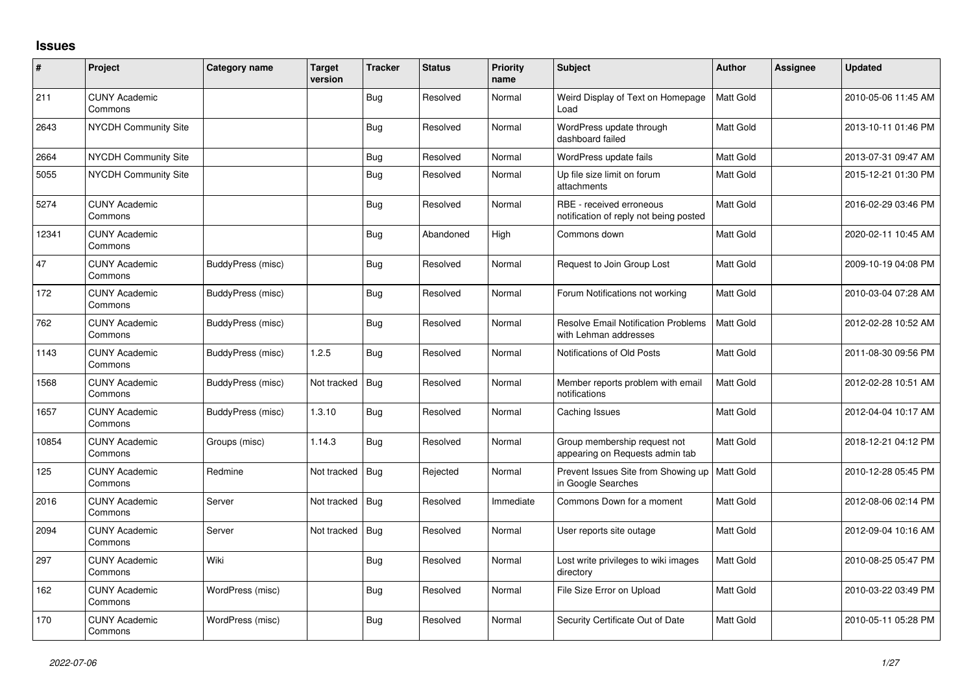## **Issues**

| #     | Project                         | Category name     | <b>Target</b><br>version | <b>Tracker</b> | <b>Status</b> | <b>Priority</b><br>name | <b>Subject</b>                                                      | Author    | <b>Assignee</b> | <b>Updated</b>      |
|-------|---------------------------------|-------------------|--------------------------|----------------|---------------|-------------------------|---------------------------------------------------------------------|-----------|-----------------|---------------------|
| 211   | <b>CUNY Academic</b><br>Commons |                   |                          | <b>Bug</b>     | Resolved      | Normal                  | Weird Display of Text on Homepage<br>Load                           | Matt Gold |                 | 2010-05-06 11:45 AM |
| 2643  | <b>NYCDH Community Site</b>     |                   |                          | <b>Bug</b>     | Resolved      | Normal                  | WordPress update through<br>dashboard failed                        | Matt Gold |                 | 2013-10-11 01:46 PM |
| 2664  | <b>NYCDH Community Site</b>     |                   |                          | <b>Bug</b>     | Resolved      | Normal                  | WordPress update fails                                              | Matt Gold |                 | 2013-07-31 09:47 AM |
| 5055  | NYCDH Community Site            |                   |                          | <b>Bug</b>     | Resolved      | Normal                  | Up file size limit on forum<br>attachments                          | Matt Gold |                 | 2015-12-21 01:30 PM |
| 5274  | <b>CUNY Academic</b><br>Commons |                   |                          | Bug            | Resolved      | Normal                  | RBE - received erroneous<br>notification of reply not being posted  | Matt Gold |                 | 2016-02-29 03:46 PM |
| 12341 | <b>CUNY Academic</b><br>Commons |                   |                          | <b>Bug</b>     | Abandoned     | High                    | Commons down                                                        | Matt Gold |                 | 2020-02-11 10:45 AM |
| 47    | <b>CUNY Academic</b><br>Commons | BuddyPress (misc) |                          | Bug            | Resolved      | Normal                  | Request to Join Group Lost                                          | Matt Gold |                 | 2009-10-19 04:08 PM |
| 172   | <b>CUNY Academic</b><br>Commons | BuddyPress (misc) |                          | <b>Bug</b>     | Resolved      | Normal                  | Forum Notifications not working                                     | Matt Gold |                 | 2010-03-04 07:28 AM |
| 762   | <b>CUNY Academic</b><br>Commons | BuddyPress (misc) |                          | <b>Bug</b>     | Resolved      | Normal                  | <b>Resolve Email Notification Problems</b><br>with Lehman addresses | Matt Gold |                 | 2012-02-28 10:52 AM |
| 1143  | <b>CUNY Academic</b><br>Commons | BuddyPress (misc) | 1.2.5                    | <b>Bug</b>     | Resolved      | Normal                  | Notifications of Old Posts                                          | Matt Gold |                 | 2011-08-30 09:56 PM |
| 1568  | <b>CUNY Academic</b><br>Commons | BuddyPress (misc) | Not tracked              | Bug            | Resolved      | Normal                  | Member reports problem with email<br>notifications                  | Matt Gold |                 | 2012-02-28 10:51 AM |
| 1657  | <b>CUNY Academic</b><br>Commons | BuddyPress (misc) | 1.3.10                   | Bug            | Resolved      | Normal                  | Caching Issues                                                      | Matt Gold |                 | 2012-04-04 10:17 AM |
| 10854 | <b>CUNY Academic</b><br>Commons | Groups (misc)     | 1.14.3                   | Bug            | Resolved      | Normal                  | Group membership request not<br>appearing on Requests admin tab     | Matt Gold |                 | 2018-12-21 04:12 PM |
| 125   | <b>CUNY Academic</b><br>Commons | Redmine           | Not tracked              | <b>Bug</b>     | Rejected      | Normal                  | Prevent Issues Site from Showing up<br>in Google Searches           | Matt Gold |                 | 2010-12-28 05:45 PM |
| 2016  | <b>CUNY Academic</b><br>Commons | Server            | Not tracked              | <b>Bug</b>     | Resolved      | Immediate               | Commons Down for a moment                                           | Matt Gold |                 | 2012-08-06 02:14 PM |
| 2094  | <b>CUNY Academic</b><br>Commons | Server            | Not tracked              | <b>Bug</b>     | Resolved      | Normal                  | User reports site outage                                            | Matt Gold |                 | 2012-09-04 10:16 AM |
| 297   | <b>CUNY Academic</b><br>Commons | Wiki              |                          | Bug            | Resolved      | Normal                  | Lost write privileges to wiki images<br>directory                   | Matt Gold |                 | 2010-08-25 05:47 PM |
| 162   | <b>CUNY Academic</b><br>Commons | WordPress (misc)  |                          | <b>Bug</b>     | Resolved      | Normal                  | File Size Error on Upload                                           | Matt Gold |                 | 2010-03-22 03:49 PM |
| 170   | <b>CUNY Academic</b><br>Commons | WordPress (misc)  |                          | Bug            | Resolved      | Normal                  | Security Certificate Out of Date                                    | Matt Gold |                 | 2010-05-11 05:28 PM |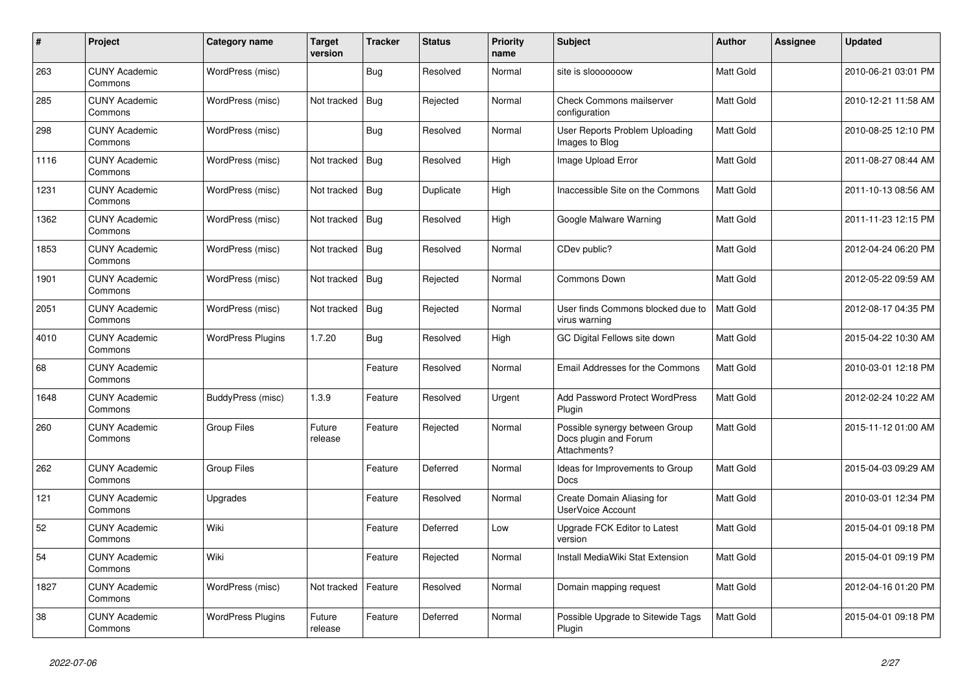| #    | Project                         | Category name            | <b>Target</b><br>version | <b>Tracker</b> | <b>Status</b> | <b>Priority</b><br>name | <b>Subject</b>                                                          | <b>Author</b>    | Assignee | <b>Updated</b>      |
|------|---------------------------------|--------------------------|--------------------------|----------------|---------------|-------------------------|-------------------------------------------------------------------------|------------------|----------|---------------------|
| 263  | <b>CUNY Academic</b><br>Commons | WordPress (misc)         |                          | <b>Bug</b>     | Resolved      | Normal                  | site is slooooooow                                                      | Matt Gold        |          | 2010-06-21 03:01 PM |
| 285  | <b>CUNY Academic</b><br>Commons | WordPress (misc)         | Not tracked              | Bug            | Rejected      | Normal                  | <b>Check Commons mailserver</b><br>configuration                        | Matt Gold        |          | 2010-12-21 11:58 AM |
| 298  | <b>CUNY Academic</b><br>Commons | WordPress (misc)         |                          | Bug            | Resolved      | Normal                  | User Reports Problem Uploading<br>Images to Blog                        | Matt Gold        |          | 2010-08-25 12:10 PM |
| 1116 | <b>CUNY Academic</b><br>Commons | WordPress (misc)         | Not tracked              | Bug            | Resolved      | High                    | Image Upload Error                                                      | Matt Gold        |          | 2011-08-27 08:44 AM |
| 1231 | <b>CUNY Academic</b><br>Commons | WordPress (misc)         | Not tracked              | Bug            | Duplicate     | High                    | Inaccessible Site on the Commons                                        | Matt Gold        |          | 2011-10-13 08:56 AM |
| 1362 | <b>CUNY Academic</b><br>Commons | WordPress (misc)         | Not tracked              | Bug            | Resolved      | High                    | Google Malware Warning                                                  | Matt Gold        |          | 2011-11-23 12:15 PM |
| 1853 | <b>CUNY Academic</b><br>Commons | WordPress (misc)         | Not tracked              | Bug            | Resolved      | Normal                  | CDev public?                                                            | Matt Gold        |          | 2012-04-24 06:20 PM |
| 1901 | <b>CUNY Academic</b><br>Commons | WordPress (misc)         | Not tracked              | Bug            | Rejected      | Normal                  | Commons Down                                                            | Matt Gold        |          | 2012-05-22 09:59 AM |
| 2051 | <b>CUNY Academic</b><br>Commons | WordPress (misc)         | Not tracked              | Bug            | Rejected      | Normal                  | User finds Commons blocked due to<br>virus warning                      | Matt Gold        |          | 2012-08-17 04:35 PM |
| 4010 | <b>CUNY Academic</b><br>Commons | <b>WordPress Plugins</b> | 1.7.20                   | Bug            | Resolved      | High                    | GC Digital Fellows site down                                            | Matt Gold        |          | 2015-04-22 10:30 AM |
| 68   | <b>CUNY Academic</b><br>Commons |                          |                          | Feature        | Resolved      | Normal                  | Email Addresses for the Commons                                         | Matt Gold        |          | 2010-03-01 12:18 PM |
| 1648 | <b>CUNY Academic</b><br>Commons | BuddyPress (misc)        | 1.3.9                    | Feature        | Resolved      | Urgent                  | <b>Add Password Protect WordPress</b><br>Plugin                         | Matt Gold        |          | 2012-02-24 10:22 AM |
| 260  | <b>CUNY Academic</b><br>Commons | Group Files              | Future<br>release        | Feature        | Rejected      | Normal                  | Possible synergy between Group<br>Docs plugin and Forum<br>Attachments? | <b>Matt Gold</b> |          | 2015-11-12 01:00 AM |
| 262  | <b>CUNY Academic</b><br>Commons | <b>Group Files</b>       |                          | Feature        | Deferred      | Normal                  | Ideas for Improvements to Group<br>Docs                                 | Matt Gold        |          | 2015-04-03 09:29 AM |
| 121  | <b>CUNY Academic</b><br>Commons | Upgrades                 |                          | Feature        | Resolved      | Normal                  | Create Domain Aliasing for<br><b>UserVoice Account</b>                  | Matt Gold        |          | 2010-03-01 12:34 PM |
| 52   | <b>CUNY Academic</b><br>Commons | Wiki                     |                          | Feature        | Deferred      | Low                     | Upgrade FCK Editor to Latest<br>version                                 | Matt Gold        |          | 2015-04-01 09:18 PM |
| 54   | <b>CUNY Academic</b><br>Commons | Wiki                     |                          | Feature        | Rejected      | Normal                  | Install MediaWiki Stat Extension                                        | Matt Gold        |          | 2015-04-01 09:19 PM |
| 1827 | <b>CUNY Academic</b><br>Commons | WordPress (misc)         | Not tracked              | Feature        | Resolved      | Normal                  | Domain mapping request                                                  | Matt Gold        |          | 2012-04-16 01:20 PM |
| 38   | <b>CUNY Academic</b><br>Commons | <b>WordPress Plugins</b> | Future<br>release        | Feature        | Deferred      | Normal                  | Possible Upgrade to Sitewide Tags<br>Plugin                             | Matt Gold        |          | 2015-04-01 09:18 PM |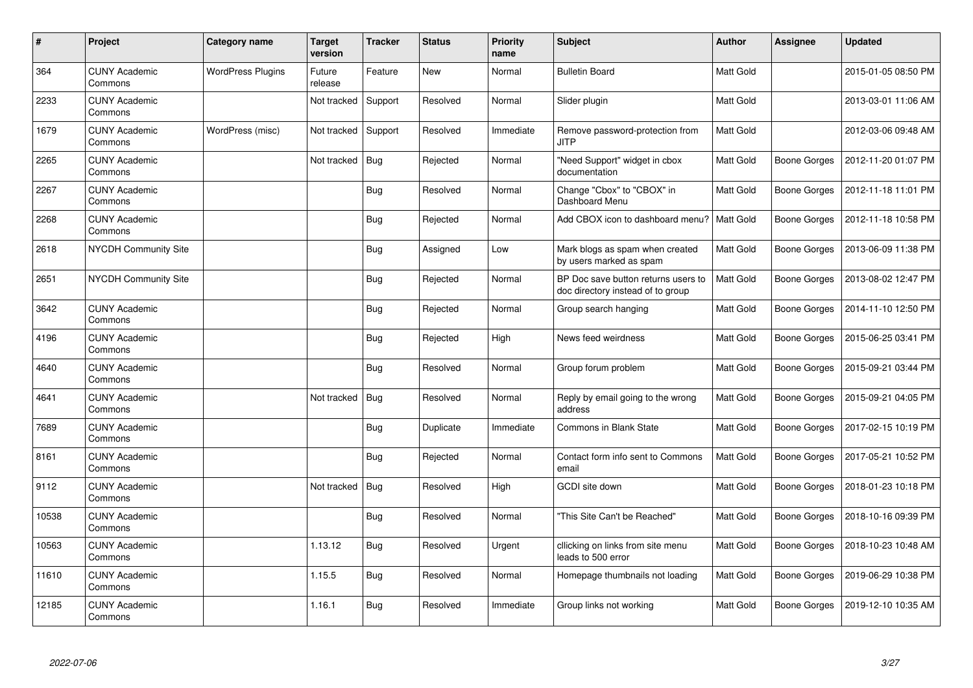| $\pmb{\#}$ | Project                         | Category name            | Target<br>version | <b>Tracker</b> | <b>Status</b> | <b>Priority</b><br>name | <b>Subject</b>                                                           | <b>Author</b> | Assignee     | <b>Updated</b>      |
|------------|---------------------------------|--------------------------|-------------------|----------------|---------------|-------------------------|--------------------------------------------------------------------------|---------------|--------------|---------------------|
| 364        | <b>CUNY Academic</b><br>Commons | <b>WordPress Plugins</b> | Future<br>release | Feature        | <b>New</b>    | Normal                  | <b>Bulletin Board</b>                                                    | Matt Gold     |              | 2015-01-05 08:50 PM |
| 2233       | <b>CUNY Academic</b><br>Commons |                          | Not tracked       | Support        | Resolved      | Normal                  | Slider plugin                                                            | Matt Gold     |              | 2013-03-01 11:06 AM |
| 1679       | <b>CUNY Academic</b><br>Commons | WordPress (misc)         | Not tracked       | Support        | Resolved      | Immediate               | Remove password-protection from<br><b>JITP</b>                           | Matt Gold     |              | 2012-03-06 09:48 AM |
| 2265       | <b>CUNY Academic</b><br>Commons |                          | Not tracked       | <b>Bug</b>     | Rejected      | Normal                  | "Need Support" widget in cbox<br>documentation                           | Matt Gold     | Boone Gorges | 2012-11-20 01:07 PM |
| 2267       | <b>CUNY Academic</b><br>Commons |                          |                   | Bug            | Resolved      | Normal                  | Change "Cbox" to "CBOX" in<br>Dashboard Menu                             | Matt Gold     | Boone Gorges | 2012-11-18 11:01 PM |
| 2268       | <b>CUNY Academic</b><br>Commons |                          |                   | Bug            | Rejected      | Normal                  | Add CBOX icon to dashboard menu?                                         | Matt Gold     | Boone Gorges | 2012-11-18 10:58 PM |
| 2618       | NYCDH Community Site            |                          |                   | <b>Bug</b>     | Assigned      | Low                     | Mark blogs as spam when created<br>by users marked as spam               | Matt Gold     | Boone Gorges | 2013-06-09 11:38 PM |
| 2651       | NYCDH Community Site            |                          |                   | <b>Bug</b>     | Rejected      | Normal                  | BP Doc save button returns users to<br>doc directory instead of to group | Matt Gold     | Boone Gorges | 2013-08-02 12:47 PM |
| 3642       | <b>CUNY Academic</b><br>Commons |                          |                   | Bug            | Rejected      | Normal                  | Group search hanging                                                     | Matt Gold     | Boone Gorges | 2014-11-10 12:50 PM |
| 4196       | <b>CUNY Academic</b><br>Commons |                          |                   | <b>Bug</b>     | Rejected      | High                    | News feed weirdness                                                      | Matt Gold     | Boone Gorges | 2015-06-25 03:41 PM |
| 4640       | <b>CUNY Academic</b><br>Commons |                          |                   | Bug            | Resolved      | Normal                  | Group forum problem                                                      | Matt Gold     | Boone Gorges | 2015-09-21 03:44 PM |
| 4641       | <b>CUNY Academic</b><br>Commons |                          | Not tracked       | <b>Bug</b>     | Resolved      | Normal                  | Reply by email going to the wrong<br>address                             | Matt Gold     | Boone Gorges | 2015-09-21 04:05 PM |
| 7689       | <b>CUNY Academic</b><br>Commons |                          |                   | Bug            | Duplicate     | Immediate               | <b>Commons in Blank State</b>                                            | Matt Gold     | Boone Gorges | 2017-02-15 10:19 PM |
| 8161       | <b>CUNY Academic</b><br>Commons |                          |                   | <b>Bug</b>     | Rejected      | Normal                  | Contact form info sent to Commons<br>email                               | Matt Gold     | Boone Gorges | 2017-05-21 10:52 PM |
| 9112       | <b>CUNY Academic</b><br>Commons |                          | Not tracked       | <b>Bug</b>     | Resolved      | High                    | GCDI site down                                                           | Matt Gold     | Boone Gorges | 2018-01-23 10:18 PM |
| 10538      | <b>CUNY Academic</b><br>Commons |                          |                   | <b>Bug</b>     | Resolved      | Normal                  | "This Site Can't be Reached"                                             | Matt Gold     | Boone Gorges | 2018-10-16 09:39 PM |
| 10563      | <b>CUNY Academic</b><br>Commons |                          | 1.13.12           | <b>Bug</b>     | Resolved      | Urgent                  | cllicking on links from site menu<br>leads to 500 error                  | Matt Gold     | Boone Gorges | 2018-10-23 10:48 AM |
| 11610      | <b>CUNY Academic</b><br>Commons |                          | 1.15.5            | <b>Bug</b>     | Resolved      | Normal                  | Homepage thumbnails not loading                                          | Matt Gold     | Boone Gorges | 2019-06-29 10:38 PM |
| 12185      | <b>CUNY Academic</b><br>Commons |                          | 1.16.1            | <b>Bug</b>     | Resolved      | Immediate               | Group links not working                                                  | Matt Gold     | Boone Gorges | 2019-12-10 10:35 AM |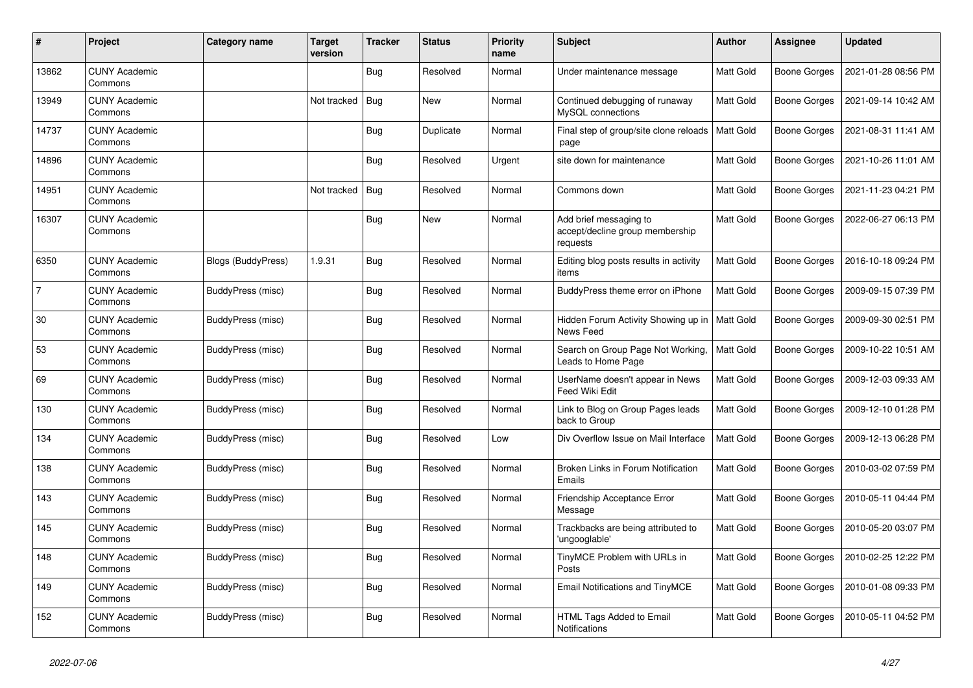| #     | Project                         | Category name             | Target<br>version | <b>Tracker</b> | <b>Status</b> | <b>Priority</b><br>name | <b>Subject</b>                                                        | <b>Author</b>    | Assignee            | <b>Updated</b>      |
|-------|---------------------------------|---------------------------|-------------------|----------------|---------------|-------------------------|-----------------------------------------------------------------------|------------------|---------------------|---------------------|
| 13862 | <b>CUNY Academic</b><br>Commons |                           |                   | <b>Bug</b>     | Resolved      | Normal                  | Under maintenance message                                             | Matt Gold        | <b>Boone Gorges</b> | 2021-01-28 08:56 PM |
| 13949 | <b>CUNY Academic</b><br>Commons |                           | Not tracked       | <b>Bug</b>     | New           | Normal                  | Continued debugging of runaway<br>MySQL connections                   | Matt Gold        | Boone Gorges        | 2021-09-14 10:42 AM |
| 14737 | <b>CUNY Academic</b><br>Commons |                           |                   | Bug            | Duplicate     | Normal                  | Final step of group/site clone reloads<br>page                        | Matt Gold        | Boone Gorges        | 2021-08-31 11:41 AM |
| 14896 | <b>CUNY Academic</b><br>Commons |                           |                   | <b>Bug</b>     | Resolved      | Urgent                  | site down for maintenance                                             | Matt Gold        | Boone Gorges        | 2021-10-26 11:01 AM |
| 14951 | <b>CUNY Academic</b><br>Commons |                           | Not tracked       | Bug            | Resolved      | Normal                  | Commons down                                                          | Matt Gold        | Boone Gorges        | 2021-11-23 04:21 PM |
| 16307 | <b>CUNY Academic</b><br>Commons |                           |                   | Bug            | <b>New</b>    | Normal                  | Add brief messaging to<br>accept/decline group membership<br>requests | Matt Gold        | Boone Gorges        | 2022-06-27 06:13 PM |
| 6350  | <b>CUNY Academic</b><br>Commons | <b>Blogs (BuddyPress)</b> | 1.9.31            | <b>Bug</b>     | Resolved      | Normal                  | Editing blog posts results in activity<br>items                       | Matt Gold        | Boone Gorges        | 2016-10-18 09:24 PM |
| 7     | <b>CUNY Academic</b><br>Commons | BuddyPress (misc)         |                   | Bug            | Resolved      | Normal                  | BuddyPress theme error on iPhone                                      | Matt Gold        | Boone Gorges        | 2009-09-15 07:39 PM |
| 30    | <b>CUNY Academic</b><br>Commons | BuddyPress (misc)         |                   | Bug            | Resolved      | Normal                  | Hidden Forum Activity Showing up in   Matt Gold<br>News Feed          |                  | Boone Gorges        | 2009-09-30 02:51 PM |
| 53    | <b>CUNY Academic</b><br>Commons | BuddyPress (misc)         |                   | <b>Bug</b>     | Resolved      | Normal                  | Search on Group Page Not Working,<br>Leads to Home Page               | <b>Matt Gold</b> | Boone Gorges        | 2009-10-22 10:51 AM |
| 69    | <b>CUNY Academic</b><br>Commons | BuddyPress (misc)         |                   | Bug            | Resolved      | Normal                  | UserName doesn't appear in News<br>Feed Wiki Edit                     | Matt Gold        | Boone Gorges        | 2009-12-03 09:33 AM |
| 130   | <b>CUNY Academic</b><br>Commons | BuddyPress (misc)         |                   | Bug            | Resolved      | Normal                  | Link to Blog on Group Pages leads<br>back to Group                    | Matt Gold        | Boone Gorges        | 2009-12-10 01:28 PM |
| 134   | <b>CUNY Academic</b><br>Commons | BuddyPress (misc)         |                   | <b>Bug</b>     | Resolved      | Low                     | Div Overflow Issue on Mail Interface                                  | Matt Gold        | <b>Boone Gorges</b> | 2009-12-13 06:28 PM |
| 138   | <b>CUNY Academic</b><br>Commons | BuddyPress (misc)         |                   | Bug            | Resolved      | Normal                  | Broken Links in Forum Notification<br>Emails                          | Matt Gold        | Boone Gorges        | 2010-03-02 07:59 PM |
| 143   | <b>CUNY Academic</b><br>Commons | BuddyPress (misc)         |                   | Bug            | Resolved      | Normal                  | Friendship Acceptance Error<br>Message                                | Matt Gold        | Boone Gorges        | 2010-05-11 04:44 PM |
| 145   | <b>CUNY Academic</b><br>Commons | BuddyPress (misc)         |                   | <b>Bug</b>     | Resolved      | Normal                  | Trackbacks are being attributed to<br>'ungooglable'                   | Matt Gold        | Boone Gorges        | 2010-05-20 03:07 PM |
| 148   | <b>CUNY Academic</b><br>Commons | BuddyPress (misc)         |                   | Bug            | Resolved      | Normal                  | TinyMCE Problem with URLs in<br>Posts                                 | Matt Gold        | Boone Gorges        | 2010-02-25 12:22 PM |
| 149   | <b>CUNY Academic</b><br>Commons | BuddyPress (misc)         |                   | Bug            | Resolved      | Normal                  | Email Notifications and TinyMCE                                       | Matt Gold        | Boone Gorges        | 2010-01-08 09:33 PM |
| 152   | <b>CUNY Academic</b><br>Commons | BuddyPress (misc)         |                   | <b>Bug</b>     | Resolved      | Normal                  | HTML Tags Added to Email<br>Notifications                             | Matt Gold        | Boone Gorges        | 2010-05-11 04:52 PM |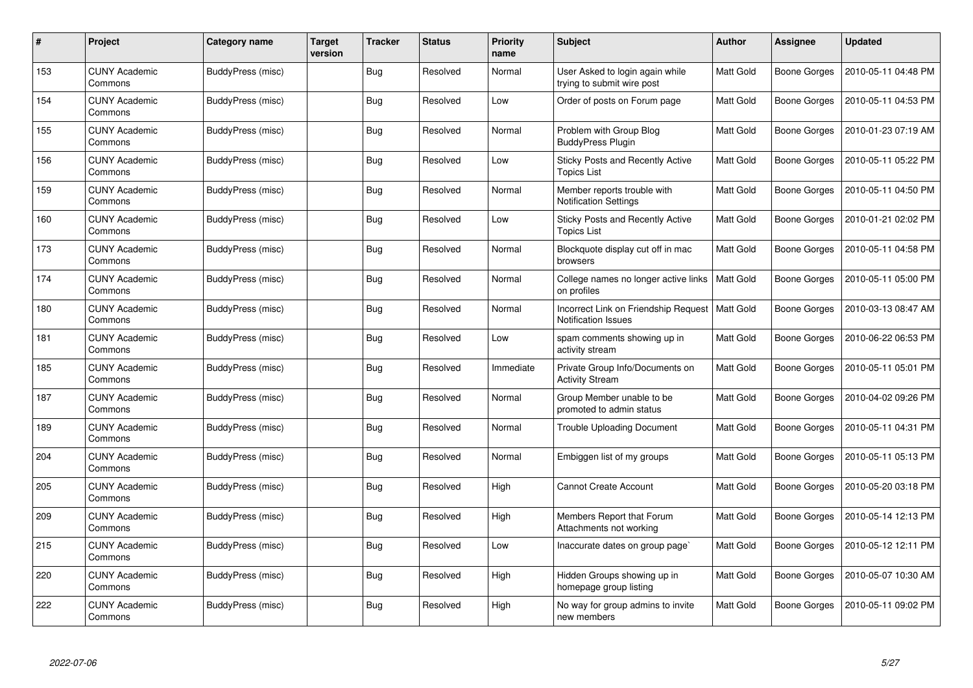| #   | Project                         | Category name            | Target<br>version | <b>Tracker</b> | <b>Status</b> | <b>Priority</b><br>name | <b>Subject</b>                                                       | <b>Author</b>    | Assignee            | <b>Updated</b>      |
|-----|---------------------------------|--------------------------|-------------------|----------------|---------------|-------------------------|----------------------------------------------------------------------|------------------|---------------------|---------------------|
| 153 | <b>CUNY Academic</b><br>Commons | BuddyPress (misc)        |                   | <b>Bug</b>     | Resolved      | Normal                  | User Asked to login again while<br>trying to submit wire post        | Matt Gold        | <b>Boone Gorges</b> | 2010-05-11 04:48 PM |
| 154 | <b>CUNY Academic</b><br>Commons | BuddyPress (misc)        |                   | <b>Bug</b>     | Resolved      | Low                     | Order of posts on Forum page                                         | Matt Gold        | Boone Gorges        | 2010-05-11 04:53 PM |
| 155 | <b>CUNY Academic</b><br>Commons | BuddyPress (misc)        |                   | Bug            | Resolved      | Normal                  | Problem with Group Blog<br><b>BuddyPress Plugin</b>                  | Matt Gold        | Boone Gorges        | 2010-01-23 07:19 AM |
| 156 | <b>CUNY Academic</b><br>Commons | BuddyPress (misc)        |                   | Bug            | Resolved      | Low                     | Sticky Posts and Recently Active<br><b>Topics List</b>               | Matt Gold        | Boone Gorges        | 2010-05-11 05:22 PM |
| 159 | <b>CUNY Academic</b><br>Commons | BuddyPress (misc)        |                   | Bug            | Resolved      | Normal                  | Member reports trouble with<br><b>Notification Settings</b>          | Matt Gold        | <b>Boone Gorges</b> | 2010-05-11 04:50 PM |
| 160 | <b>CUNY Academic</b><br>Commons | BuddyPress (misc)        |                   | <b>Bug</b>     | Resolved      | Low                     | <b>Sticky Posts and Recently Active</b><br><b>Topics List</b>        | Matt Gold        | Boone Gorges        | 2010-01-21 02:02 PM |
| 173 | <b>CUNY Academic</b><br>Commons | <b>BuddyPress (misc)</b> |                   | <b>Bug</b>     | Resolved      | Normal                  | Blockquote display cut off in mac<br>browsers                        | Matt Gold        | Boone Gorges        | 2010-05-11 04:58 PM |
| 174 | <b>CUNY Academic</b><br>Commons | BuddyPress (misc)        |                   | Bug            | Resolved      | Normal                  | College names no longer active links<br>on profiles                  | Matt Gold        | Boone Gorges        | 2010-05-11 05:00 PM |
| 180 | <b>CUNY Academic</b><br>Commons | BuddyPress (misc)        |                   | Bug            | Resolved      | Normal                  | Incorrect Link on Friendship Request  <br><b>Notification Issues</b> | <b>Matt Gold</b> | Boone Gorges        | 2010-03-13 08:47 AM |
| 181 | <b>CUNY Academic</b><br>Commons | BuddyPress (misc)        |                   | <b>Bug</b>     | Resolved      | Low                     | spam comments showing up in<br>activity stream                       | Matt Gold        | Boone Gorges        | 2010-06-22 06:53 PM |
| 185 | <b>CUNY Academic</b><br>Commons | <b>BuddyPress (misc)</b> |                   | <b>Bug</b>     | Resolved      | Immediate               | Private Group Info/Documents on<br><b>Activity Stream</b>            | Matt Gold        | Boone Gorges        | 2010-05-11 05:01 PM |
| 187 | <b>CUNY Academic</b><br>Commons | BuddyPress (misc)        |                   | Bug            | Resolved      | Normal                  | Group Member unable to be<br>promoted to admin status                | Matt Gold        | Boone Gorges        | 2010-04-02 09:26 PM |
| 189 | <b>CUNY Academic</b><br>Commons | BuddyPress (misc)        |                   | Bug            | Resolved      | Normal                  | <b>Trouble Uploading Document</b>                                    | Matt Gold        | Boone Gorges        | 2010-05-11 04:31 PM |
| 204 | <b>CUNY Academic</b><br>Commons | <b>BuddyPress (misc)</b> |                   | <b>Bug</b>     | Resolved      | Normal                  | Embiggen list of my groups                                           | Matt Gold        | Boone Gorges        | 2010-05-11 05:13 PM |
| 205 | <b>CUNY Academic</b><br>Commons | <b>BuddyPress (misc)</b> |                   | Bug            | Resolved      | High                    | <b>Cannot Create Account</b>                                         | Matt Gold        | Boone Gorges        | 2010-05-20 03:18 PM |
| 209 | <b>CUNY Academic</b><br>Commons | <b>BuddyPress (misc)</b> |                   | <b>Bug</b>     | Resolved      | High                    | Members Report that Forum<br>Attachments not working                 | Matt Gold        | <b>Boone Gorges</b> | 2010-05-14 12:13 PM |
| 215 | <b>CUNY Academic</b><br>Commons | BuddyPress (misc)        |                   | Bug            | Resolved      | Low                     | Inaccurate dates on group page`                                      | Matt Gold        | Boone Gorges        | 2010-05-12 12:11 PM |
| 220 | <b>CUNY Academic</b><br>Commons | <b>BuddyPress (misc)</b> |                   | <b>Bug</b>     | Resolved      | High                    | Hidden Groups showing up in<br>homepage group listing                | Matt Gold        | Boone Gorges        | 2010-05-07 10:30 AM |
| 222 | <b>CUNY Academic</b><br>Commons | BuddyPress (misc)        |                   | Bug            | Resolved      | High                    | No way for group admins to invite<br>new members                     | Matt Gold        | Boone Gorges        | 2010-05-11 09:02 PM |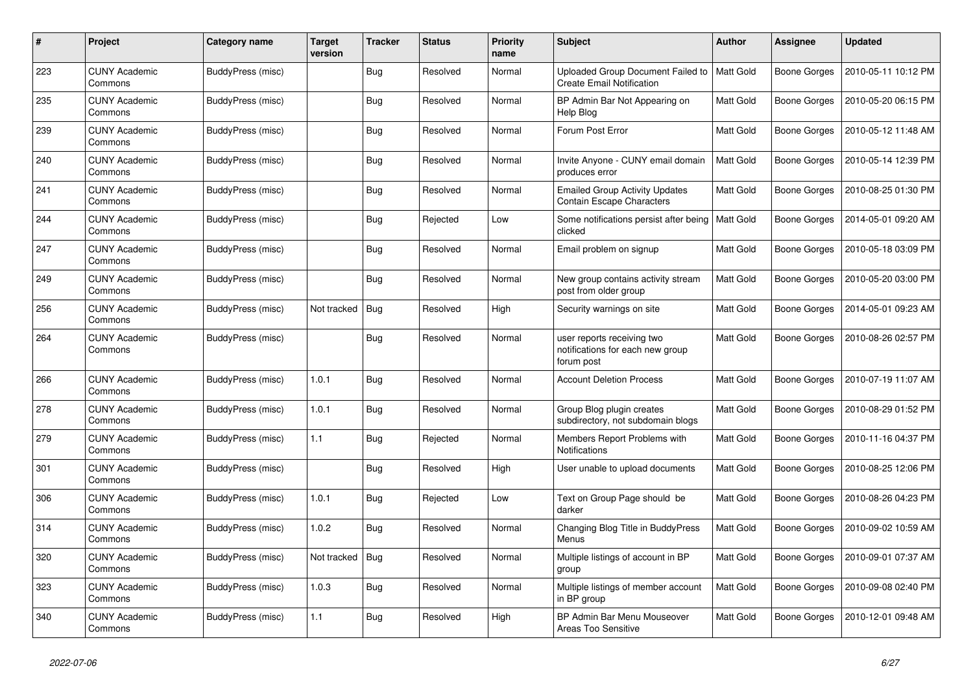| #   | Project                         | Category name            | Target<br>version | <b>Tracker</b> | <b>Status</b> | <b>Priority</b><br>name | <b>Subject</b>                                                               | <b>Author</b>    | Assignee            | <b>Updated</b>      |
|-----|---------------------------------|--------------------------|-------------------|----------------|---------------|-------------------------|------------------------------------------------------------------------------|------------------|---------------------|---------------------|
| 223 | <b>CUNY Academic</b><br>Commons | <b>BuddyPress (misc)</b> |                   | <b>Bug</b>     | Resolved      | Normal                  | Uploaded Group Document Failed to<br><b>Create Email Notification</b>        | <b>Matt Gold</b> | Boone Gorges        | 2010-05-11 10:12 PM |
| 235 | <b>CUNY Academic</b><br>Commons | <b>BuddyPress (misc)</b> |                   | Bug            | Resolved      | Normal                  | BP Admin Bar Not Appearing on<br>Help Blog                                   | Matt Gold        | Boone Gorges        | 2010-05-20 06:15 PM |
| 239 | <b>CUNY Academic</b><br>Commons | BuddyPress (misc)        |                   | Bug            | Resolved      | Normal                  | Forum Post Error                                                             | Matt Gold        | Boone Gorges        | 2010-05-12 11:48 AM |
| 240 | <b>CUNY Academic</b><br>Commons | BuddyPress (misc)        |                   | Bug            | Resolved      | Normal                  | Invite Anyone - CUNY email domain<br>produces error                          | Matt Gold        | Boone Gorges        | 2010-05-14 12:39 PM |
| 241 | <b>CUNY Academic</b><br>Commons | BuddyPress (misc)        |                   | Bug            | Resolved      | Normal                  | <b>Emailed Group Activity Updates</b><br><b>Contain Escape Characters</b>    | Matt Gold        | Boone Gorges        | 2010-08-25 01:30 PM |
| 244 | <b>CUNY Academic</b><br>Commons | <b>BuddyPress (misc)</b> |                   | Bug            | Rejected      | Low                     | Some notifications persist after being<br>clicked                            | Matt Gold        | Boone Gorges        | 2014-05-01 09:20 AM |
| 247 | <b>CUNY Academic</b><br>Commons | BuddyPress (misc)        |                   | Bug            | Resolved      | Normal                  | Email problem on signup                                                      | Matt Gold        | Boone Gorges        | 2010-05-18 03:09 PM |
| 249 | <b>CUNY Academic</b><br>Commons | BuddyPress (misc)        |                   | Bug            | Resolved      | Normal                  | New group contains activity stream<br>post from older group                  | Matt Gold        | Boone Gorges        | 2010-05-20 03:00 PM |
| 256 | <b>CUNY Academic</b><br>Commons | <b>BuddyPress (misc)</b> | Not tracked       | Bug            | Resolved      | High                    | Security warnings on site                                                    | Matt Gold        | Boone Gorges        | 2014-05-01 09:23 AM |
| 264 | <b>CUNY Academic</b><br>Commons | BuddyPress (misc)        |                   | Bug            | Resolved      | Normal                  | user reports receiving two<br>notifications for each new group<br>forum post | Matt Gold        | <b>Boone Gorges</b> | 2010-08-26 02:57 PM |
| 266 | <b>CUNY Academic</b><br>Commons | <b>BuddyPress (misc)</b> | 1.0.1             | <b>Bug</b>     | Resolved      | Normal                  | <b>Account Deletion Process</b>                                              | Matt Gold        | Boone Gorges        | 2010-07-19 11:07 AM |
| 278 | <b>CUNY Academic</b><br>Commons | BuddyPress (misc)        | 1.0.1             | Bug            | Resolved      | Normal                  | Group Blog plugin creates<br>subdirectory, not subdomain blogs               | Matt Gold        | Boone Gorges        | 2010-08-29 01:52 PM |
| 279 | <b>CUNY Academic</b><br>Commons | <b>BuddyPress (misc)</b> | 1.1               | <b>Bug</b>     | Rejected      | Normal                  | Members Report Problems with<br><b>Notifications</b>                         | Matt Gold        | Boone Gorges        | 2010-11-16 04:37 PM |
| 301 | CUNY Academic<br>Commons        | BuddyPress (misc)        |                   | Bug            | Resolved      | High                    | User unable to upload documents                                              | Matt Gold        | Boone Gorges        | 2010-08-25 12:06 PM |
| 306 | <b>CUNY Academic</b><br>Commons | BuddyPress (misc)        | 1.0.1             | <b>Bug</b>     | Rejected      | Low                     | Text on Group Page should be<br>darker                                       | Matt Gold        | Boone Gorges        | 2010-08-26 04:23 PM |
| 314 | <b>CUNY Academic</b><br>Commons | <b>BuddyPress (misc)</b> | 1.0.2             | Bug            | Resolved      | Normal                  | Changing Blog Title in BuddyPress<br>Menus                                   | Matt Gold        | Boone Gorges        | 2010-09-02 10:59 AM |
| 320 | <b>CUNY Academic</b><br>Commons | BuddyPress (misc)        | Not tracked       | Bug            | Resolved      | Normal                  | Multiple listings of account in BP<br>group                                  | Matt Gold        | <b>Boone Gorges</b> | 2010-09-01 07:37 AM |
| 323 | <b>CUNY Academic</b><br>Commons | BuddyPress (misc)        | 1.0.3             | <b>Bug</b>     | Resolved      | Normal                  | Multiple listings of member account<br>in BP group                           | <b>Matt Gold</b> | Boone Gorges        | 2010-09-08 02:40 PM |
| 340 | <b>CUNY Academic</b><br>Commons | <b>BuddyPress (misc)</b> | 1.1               | Bug            | Resolved      | High                    | BP Admin Bar Menu Mouseover<br>Areas Too Sensitive                           | Matt Gold        | Boone Gorges        | 2010-12-01 09:48 AM |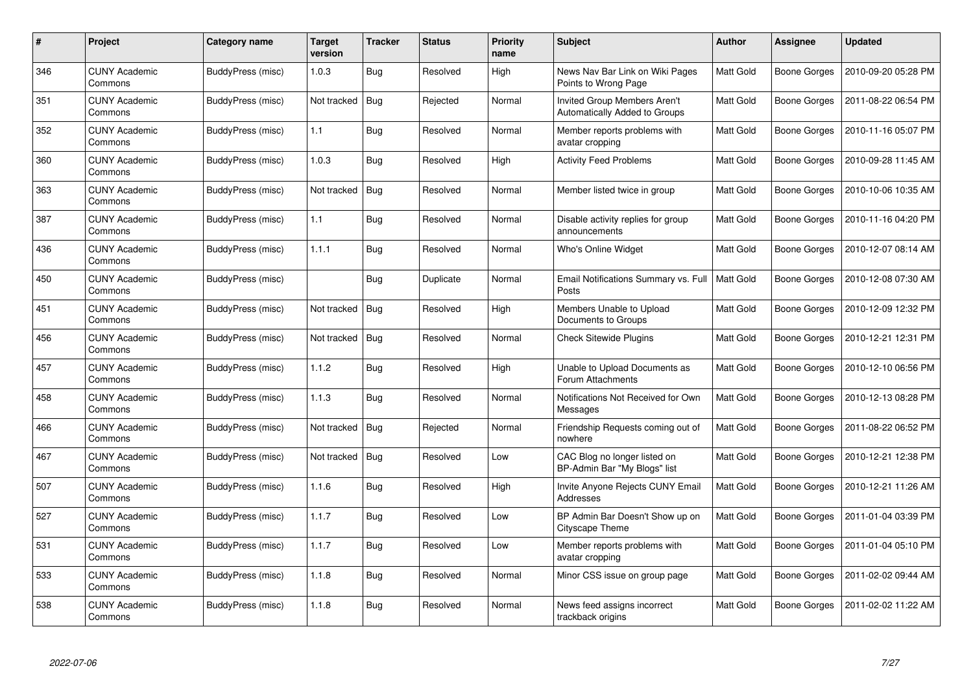| #   | Project                         | Category name            | Target<br>version | <b>Tracker</b> | <b>Status</b> | <b>Priority</b><br>name | <b>Subject</b>                                                       | <b>Author</b> | Assignee            | <b>Updated</b>      |
|-----|---------------------------------|--------------------------|-------------------|----------------|---------------|-------------------------|----------------------------------------------------------------------|---------------|---------------------|---------------------|
| 346 | <b>CUNY Academic</b><br>Commons | BuddyPress (misc)        | 1.0.3             | <b>Bug</b>     | Resolved      | High                    | News Nav Bar Link on Wiki Pages<br>Points to Wrong Page              | Matt Gold     | Boone Gorges        | 2010-09-20 05:28 PM |
| 351 | <b>CUNY Academic</b><br>Commons | BuddyPress (misc)        | Not tracked       | <b>Bug</b>     | Rejected      | Normal                  | <b>Invited Group Members Aren't</b><br>Automatically Added to Groups | Matt Gold     | Boone Gorges        | 2011-08-22 06:54 PM |
| 352 | <b>CUNY Academic</b><br>Commons | BuddyPress (misc)        | 1.1               | <b>Bug</b>     | Resolved      | Normal                  | Member reports problems with<br>avatar cropping                      | Matt Gold     | Boone Gorges        | 2010-11-16 05:07 PM |
| 360 | <b>CUNY Academic</b><br>Commons | BuddyPress (misc)        | 1.0.3             | Bug            | Resolved      | High                    | <b>Activity Feed Problems</b>                                        | Matt Gold     | Boone Gorges        | 2010-09-28 11:45 AM |
| 363 | <b>CUNY Academic</b><br>Commons | BuddyPress (misc)        | Not tracked       | Bug            | Resolved      | Normal                  | Member listed twice in group                                         | Matt Gold     | Boone Gorges        | 2010-10-06 10:35 AM |
| 387 | <b>CUNY Academic</b><br>Commons | BuddyPress (misc)        | 1.1               | Bug            | Resolved      | Normal                  | Disable activity replies for group<br>announcements                  | Matt Gold     | Boone Gorges        | 2010-11-16 04:20 PM |
| 436 | <b>CUNY Academic</b><br>Commons | <b>BuddyPress (misc)</b> | 1.1.1             | <b>Bug</b>     | Resolved      | Normal                  | Who's Online Widget                                                  | Matt Gold     | Boone Gorges        | 2010-12-07 08:14 AM |
| 450 | <b>CUNY Academic</b><br>Commons | BuddyPress (misc)        |                   | Bug            | Duplicate     | Normal                  | Email Notifications Summary vs. Full<br>Posts                        | Matt Gold     | Boone Gorges        | 2010-12-08 07:30 AM |
| 451 | <b>CUNY Academic</b><br>Commons | BuddyPress (misc)        | Not tracked       | Bug            | Resolved      | High                    | Members Unable to Upload<br>Documents to Groups                      | Matt Gold     | Boone Gorges        | 2010-12-09 12:32 PM |
| 456 | CUNY Academic<br>Commons        | BuddyPress (misc)        | Not tracked       | <b>Bug</b>     | Resolved      | Normal                  | <b>Check Sitewide Plugins</b>                                        | Matt Gold     | Boone Gorges        | 2010-12-21 12:31 PM |
| 457 | <b>CUNY Academic</b><br>Commons | <b>BuddyPress (misc)</b> | 1.1.2             | <b>Bug</b>     | Resolved      | High                    | Unable to Upload Documents as<br>Forum Attachments                   | Matt Gold     | Boone Gorges        | 2010-12-10 06:56 PM |
| 458 | <b>CUNY Academic</b><br>Commons | BuddyPress (misc)        | 1.1.3             | Bug            | Resolved      | Normal                  | Notifications Not Received for Own<br>Messages                       | Matt Gold     | <b>Boone Gorges</b> | 2010-12-13 08:28 PM |
| 466 | <b>CUNY Academic</b><br>Commons | BuddyPress (misc)        | Not tracked       | <b>Bug</b>     | Rejected      | Normal                  | Friendship Requests coming out of<br>nowhere                         | Matt Gold     | Boone Gorges        | 2011-08-22 06:52 PM |
| 467 | <b>CUNY Academic</b><br>Commons | <b>BuddyPress (misc)</b> | Not tracked       | Bug            | Resolved      | Low                     | CAC Blog no longer listed on<br>BP-Admin Bar "My Blogs" list         | Matt Gold     | Boone Gorges        | 2010-12-21 12:38 PM |
| 507 | <b>CUNY Academic</b><br>Commons | <b>BuddyPress (misc)</b> | 1.1.6             | Bug            | Resolved      | High                    | Invite Anyone Rejects CUNY Email<br>Addresses                        | Matt Gold     | Boone Gorges        | 2010-12-21 11:26 AM |
| 527 | <b>CUNY Academic</b><br>Commons | <b>BuddyPress (misc)</b> | 1.1.7             | <b>Bug</b>     | Resolved      | Low                     | BP Admin Bar Doesn't Show up on<br>Cityscape Theme                   | Matt Gold     | Boone Gorges        | 2011-01-04 03:39 PM |
| 531 | <b>CUNY Academic</b><br>Commons | BuddyPress (misc)        | 1.1.7             | Bug            | Resolved      | Low                     | Member reports problems with<br>avatar cropping                      | Matt Gold     | Boone Gorges        | 2011-01-04 05:10 PM |
| 533 | <b>CUNY Academic</b><br>Commons | <b>BuddyPress (misc)</b> | 1.1.8             | <b>Bug</b>     | Resolved      | Normal                  | Minor CSS issue on group page                                        | Matt Gold     | Boone Gorges        | 2011-02-02 09:44 AM |
| 538 | <b>CUNY Academic</b><br>Commons | BuddyPress (misc)        | 1.1.8             | Bug            | Resolved      | Normal                  | News feed assigns incorrect<br>trackback origins                     | Matt Gold     | Boone Gorges        | 2011-02-02 11:22 AM |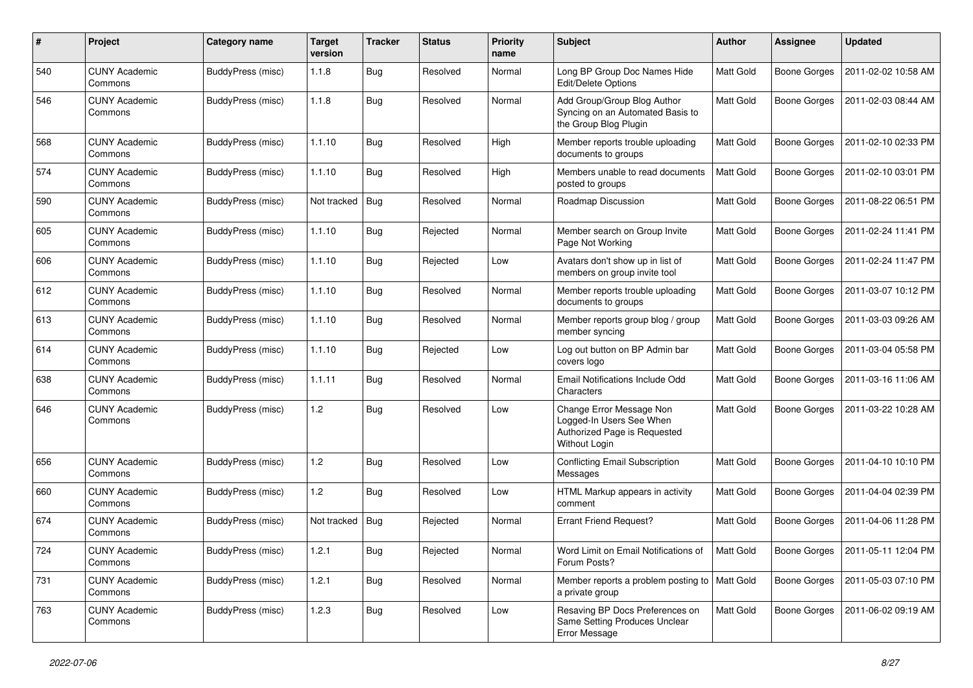| #   | Project                         | Category name            | <b>Target</b><br>version | <b>Tracker</b> | <b>Status</b> | <b>Priority</b><br>name | Subject                                                                                               | <b>Author</b> | Assignee            | <b>Updated</b>      |
|-----|---------------------------------|--------------------------|--------------------------|----------------|---------------|-------------------------|-------------------------------------------------------------------------------------------------------|---------------|---------------------|---------------------|
| 540 | <b>CUNY Academic</b><br>Commons | BuddyPress (misc)        | 1.1.8                    | <b>Bug</b>     | Resolved      | Normal                  | Long BP Group Doc Names Hide<br>Edit/Delete Options                                                   | Matt Gold     | <b>Boone Gorges</b> | 2011-02-02 10:58 AM |
| 546 | <b>CUNY Academic</b><br>Commons | BuddyPress (misc)        | 1.1.8                    | Bug            | Resolved      | Normal                  | Add Group/Group Blog Author<br>Syncing on an Automated Basis to<br>the Group Blog Plugin              | Matt Gold     | Boone Gorges        | 2011-02-03 08:44 AM |
| 568 | <b>CUNY Academic</b><br>Commons | BuddyPress (misc)        | 1.1.10                   | Bug            | Resolved      | High                    | Member reports trouble uploading<br>documents to groups                                               | Matt Gold     | <b>Boone Gorges</b> | 2011-02-10 02:33 PM |
| 574 | <b>CUNY Academic</b><br>Commons | <b>BuddyPress (misc)</b> | 1.1.10                   | Bug            | Resolved      | High                    | Members unable to read documents<br>posted to groups                                                  | Matt Gold     | <b>Boone Gorges</b> | 2011-02-10 03:01 PM |
| 590 | <b>CUNY Academic</b><br>Commons | BuddyPress (misc)        | Not tracked              | <b>Bug</b>     | Resolved      | Normal                  | Roadmap Discussion                                                                                    | Matt Gold     | <b>Boone Gorges</b> | 2011-08-22 06:51 PM |
| 605 | <b>CUNY Academic</b><br>Commons | BuddyPress (misc)        | 1.1.10                   | Bug            | Rejected      | Normal                  | Member search on Group Invite<br>Page Not Working                                                     | Matt Gold     | <b>Boone Gorges</b> | 2011-02-24 11:41 PM |
| 606 | <b>CUNY Academic</b><br>Commons | BuddyPress (misc)        | 1.1.10                   | Bug            | Rejected      | Low                     | Avatars don't show up in list of<br>members on group invite tool                                      | Matt Gold     | Boone Gorges        | 2011-02-24 11:47 PM |
| 612 | <b>CUNY Academic</b><br>Commons | BuddyPress (misc)        | 1.1.10                   | Bug            | Resolved      | Normal                  | Member reports trouble uploading<br>documents to groups                                               | Matt Gold     | <b>Boone Gorges</b> | 2011-03-07 10:12 PM |
| 613 | <b>CUNY Academic</b><br>Commons | BuddyPress (misc)        | 1.1.10                   | <b>Bug</b>     | Resolved      | Normal                  | Member reports group blog / group<br>member syncing                                                   | Matt Gold     | Boone Gorges        | 2011-03-03 09:26 AM |
| 614 | <b>CUNY Academic</b><br>Commons | BuddyPress (misc)        | 1.1.10                   | Bug            | Rejected      | Low                     | Log out button on BP Admin bar<br>covers logo                                                         | Matt Gold     | <b>Boone Gorges</b> | 2011-03-04 05:58 PM |
| 638 | <b>CUNY Academic</b><br>Commons | BuddyPress (misc)        | 1.1.11                   | Bug            | Resolved      | Normal                  | Email Notifications Include Odd<br>Characters                                                         | Matt Gold     | <b>Boone Gorges</b> | 2011-03-16 11:06 AM |
| 646 | <b>CUNY Academic</b><br>Commons | BuddyPress (misc)        | 1.2                      | <b>Bug</b>     | Resolved      | Low                     | Change Error Message Non<br>Logged-In Users See When<br>Authorized Page is Requested<br>Without Login | Matt Gold     | <b>Boone Gorges</b> | 2011-03-22 10:28 AM |
| 656 | <b>CUNY Academic</b><br>Commons | BuddyPress (misc)        | 1.2                      | Bug            | Resolved      | Low                     | <b>Conflicting Email Subscription</b><br>Messages                                                     | Matt Gold     | <b>Boone Gorges</b> | 2011-04-10 10:10 PM |
| 660 | <b>CUNY Academic</b><br>Commons | BuddyPress (misc)        | 1.2                      | Bug            | Resolved      | Low                     | HTML Markup appears in activity<br>comment                                                            | Matt Gold     | <b>Boone Gorges</b> | 2011-04-04 02:39 PM |
| 674 | <b>CUNY Academic</b><br>Commons | BuddyPress (misc)        | Not tracked              | <b>Bug</b>     | Rejected      | Normal                  | <b>Errant Friend Request?</b>                                                                         | Matt Gold     | Boone Gorges        | 2011-04-06 11:28 PM |
| 724 | <b>CUNY Academic</b><br>Commons | <b>BuddyPress (misc)</b> | 1.2.1                    | <b>Bug</b>     | Rejected      | Normal                  | Word Limit on Email Notifications of<br>Forum Posts?                                                  | Matt Gold     | Boone Gorges        | 2011-05-11 12:04 PM |
| 731 | <b>CUNY Academic</b><br>Commons | BuddyPress (misc)        | 1.2.1                    | <b>Bug</b>     | Resolved      | Normal                  | Member reports a problem posting to   Matt Gold<br>a private group                                    |               | Boone Gorges        | 2011-05-03 07:10 PM |
| 763 | <b>CUNY Academic</b><br>Commons | BuddyPress (misc)        | 1.2.3                    | <b>Bug</b>     | Resolved      | Low                     | Resaving BP Docs Preferences on<br>Same Setting Produces Unclear<br>Error Message                     | Matt Gold     | Boone Gorges        | 2011-06-02 09:19 AM |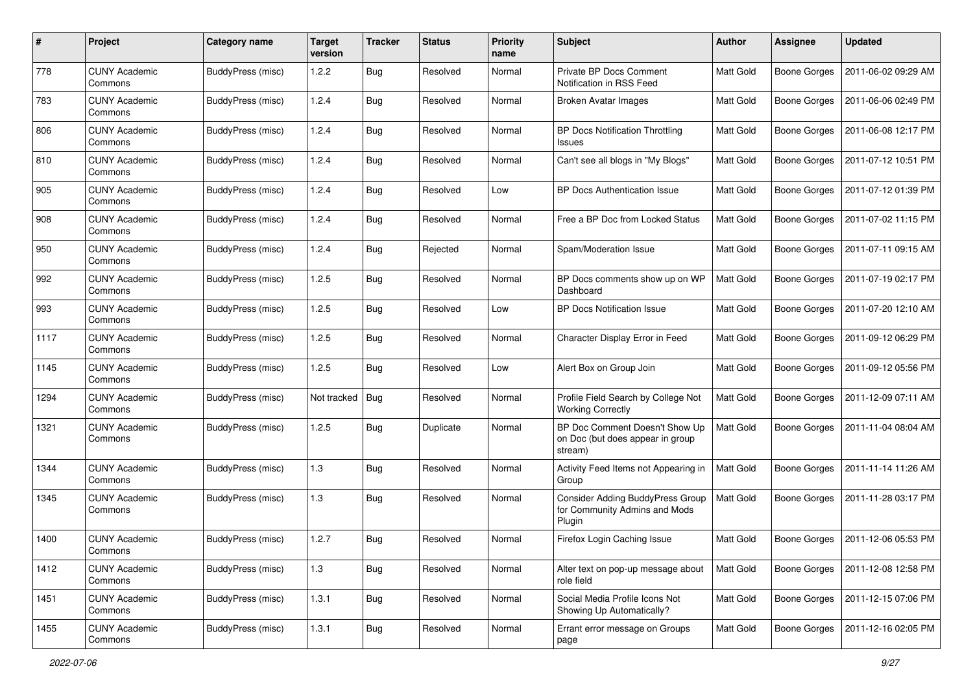| #    | Project                         | Category name            | <b>Target</b><br>version | <b>Tracker</b> | <b>Status</b> | <b>Priority</b><br>name | Subject                                                                            | Author           | <b>Assignee</b>     | <b>Updated</b>      |
|------|---------------------------------|--------------------------|--------------------------|----------------|---------------|-------------------------|------------------------------------------------------------------------------------|------------------|---------------------|---------------------|
| 778  | <b>CUNY Academic</b><br>Commons | <b>BuddyPress (misc)</b> | 1.2.2                    | Bug            | Resolved      | Normal                  | Private BP Docs Comment<br>Notification in RSS Feed                                | <b>Matt Gold</b> | <b>Boone Gorges</b> | 2011-06-02 09:29 AM |
| 783  | <b>CUNY Academic</b><br>Commons | BuddyPress (misc)        | 1.2.4                    | Bug            | Resolved      | Normal                  | <b>Broken Avatar Images</b>                                                        | <b>Matt Gold</b> | <b>Boone Gorges</b> | 2011-06-06 02:49 PM |
| 806  | <b>CUNY Academic</b><br>Commons | BuddyPress (misc)        | 1.2.4                    | Bug            | Resolved      | Normal                  | <b>BP Docs Notification Throttling</b><br><b>Issues</b>                            | <b>Matt Gold</b> | <b>Boone Gorges</b> | 2011-06-08 12:17 PM |
| 810  | <b>CUNY Academic</b><br>Commons | BuddyPress (misc)        | 1.2.4                    | Bug            | Resolved      | Normal                  | Can't see all blogs in "My Blogs"                                                  | Matt Gold        | <b>Boone Gorges</b> | 2011-07-12 10:51 PM |
| 905  | <b>CUNY Academic</b><br>Commons | BuddyPress (misc)        | 1.2.4                    | Bug            | Resolved      | Low                     | <b>BP Docs Authentication Issue</b>                                                | <b>Matt Gold</b> | <b>Boone Gorges</b> | 2011-07-12 01:39 PM |
| 908  | <b>CUNY Academic</b><br>Commons | BuddyPress (misc)        | 1.2.4                    | Bug            | Resolved      | Normal                  | Free a BP Doc from Locked Status                                                   | Matt Gold        | <b>Boone Gorges</b> | 2011-07-02 11:15 PM |
| 950  | <b>CUNY Academic</b><br>Commons | <b>BuddyPress (misc)</b> | 1.2.4                    | Bug            | Rejected      | Normal                  | Spam/Moderation Issue                                                              | Matt Gold        | <b>Boone Gorges</b> | 2011-07-11 09:15 AM |
| 992  | <b>CUNY Academic</b><br>Commons | <b>BuddyPress (misc)</b> | 1.2.5                    | Bug            | Resolved      | Normal                  | BP Docs comments show up on WP<br>Dashboard                                        | <b>Matt Gold</b> | <b>Boone Gorges</b> | 2011-07-19 02:17 PM |
| 993  | <b>CUNY Academic</b><br>Commons | BuddyPress (misc)        | 1.2.5                    | Bug            | Resolved      | Low                     | <b>BP Docs Notification Issue</b>                                                  | <b>Matt Gold</b> | <b>Boone Gorges</b> | 2011-07-20 12:10 AM |
| 1117 | <b>CUNY Academic</b><br>Commons | BuddyPress (misc)        | 1.2.5                    | Bug            | Resolved      | Normal                  | Character Display Error in Feed                                                    | Matt Gold        | <b>Boone Gorges</b> | 2011-09-12 06:29 PM |
| 1145 | <b>CUNY Academic</b><br>Commons | BuddyPress (misc)        | 1.2.5                    | Bug            | Resolved      | Low                     | Alert Box on Group Join                                                            | <b>Matt Gold</b> | <b>Boone Gorges</b> | 2011-09-12 05:56 PM |
| 1294 | <b>CUNY Academic</b><br>Commons | <b>BuddyPress</b> (misc) | Not tracked              | Bug            | Resolved      | Normal                  | Profile Field Search by College Not<br><b>Working Correctly</b>                    | <b>Matt Gold</b> | <b>Boone Gorges</b> | 2011-12-09 07:11 AM |
| 1321 | <b>CUNY Academic</b><br>Commons | BuddyPress (misc)        | 1.2.5                    | Bug            | Duplicate     | Normal                  | BP Doc Comment Doesn't Show Up<br>on Doc (but does appear in group<br>stream)      | Matt Gold        | <b>Boone Gorges</b> | 2011-11-04 08:04 AM |
| 1344 | <b>CUNY Academic</b><br>Commons | BuddyPress (misc)        | 1.3                      | Bug            | Resolved      | Normal                  | Activity Feed Items not Appearing in<br>Group                                      | <b>Matt Gold</b> | <b>Boone Gorges</b> | 2011-11-14 11:26 AM |
| 1345 | <b>CUNY Academic</b><br>Commons | BuddyPress (misc)        | 1.3                      | Bug            | Resolved      | Normal                  | <b>Consider Adding BuddyPress Group</b><br>for Community Admins and Mods<br>Plugin | Matt Gold        | <b>Boone Gorges</b> | 2011-11-28 03:17 PM |
| 1400 | <b>CUNY Academic</b><br>Commons | BuddyPress (misc)        | 1.2.7                    | Bug            | Resolved      | Normal                  | Firefox Login Caching Issue                                                        | <b>Matt Gold</b> | <b>Boone Gorges</b> | 2011-12-06 05:53 PM |
| 1412 | <b>CUNY Academic</b><br>Commons | BuddyPress (misc)        | 1.3                      | <b>Bug</b>     | Resolved      | Normal                  | Alter text on pop-up message about<br>role field                                   | Matt Gold        | <b>Boone Gorges</b> | 2011-12-08 12:58 PM |
| 1451 | <b>CUNY Academic</b><br>Commons | BuddyPress (misc)        | 1.3.1                    | <b>Bug</b>     | Resolved      | Normal                  | Social Media Profile Icons Not<br>Showing Up Automatically?                        | Matt Gold        | Boone Gorges        | 2011-12-15 07:06 PM |
| 1455 | <b>CUNY Academic</b><br>Commons | BuddyPress (misc)        | 1.3.1                    | <b>Bug</b>     | Resolved      | Normal                  | Errant error message on Groups<br>page                                             | Matt Gold        | Boone Gorges        | 2011-12-16 02:05 PM |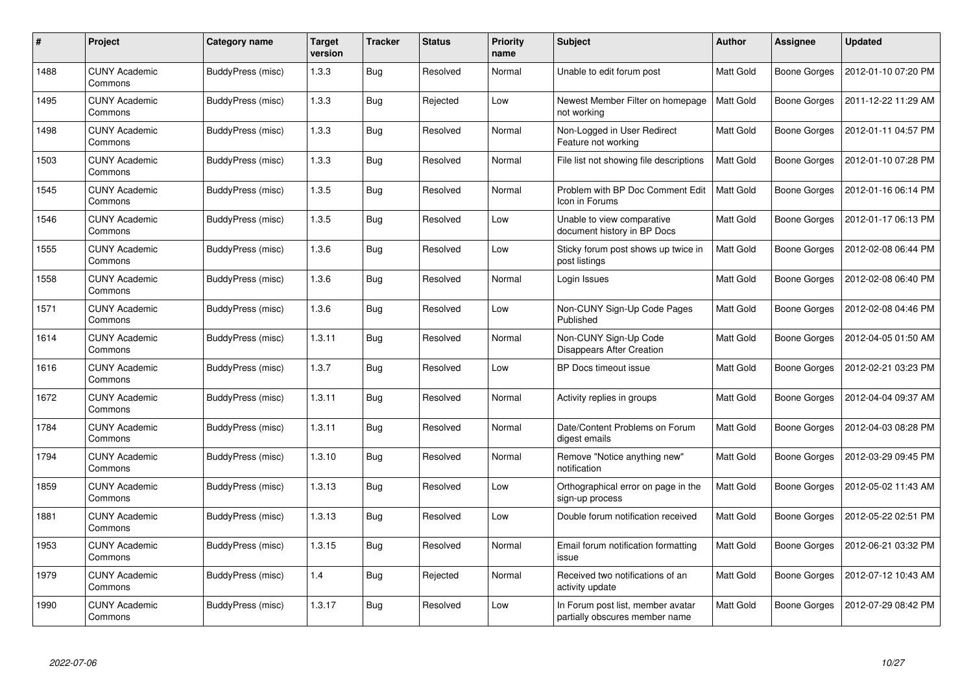| $\pmb{\#}$ | Project                         | Category name            | <b>Target</b><br>version | <b>Tracker</b> | <b>Status</b> | Priority<br>name | <b>Subject</b>                                                      | <b>Author</b> | Assignee     | <b>Updated</b>      |
|------------|---------------------------------|--------------------------|--------------------------|----------------|---------------|------------------|---------------------------------------------------------------------|---------------|--------------|---------------------|
| 1488       | <b>CUNY Academic</b><br>Commons | BuddyPress (misc)        | 1.3.3                    | <b>Bug</b>     | Resolved      | Normal           | Unable to edit forum post                                           | Matt Gold     | Boone Gorges | 2012-01-10 07:20 PM |
| 1495       | <b>CUNY Academic</b><br>Commons | BuddyPress (misc)        | 1.3.3                    | <b>Bug</b>     | Rejected      | Low              | Newest Member Filter on homepage<br>not working                     | Matt Gold     | Boone Gorges | 2011-12-22 11:29 AM |
| 1498       | <b>CUNY Academic</b><br>Commons | <b>BuddyPress (misc)</b> | 1.3.3                    | <b>Bug</b>     | Resolved      | Normal           | Non-Logged in User Redirect<br>Feature not working                  | Matt Gold     | Boone Gorges | 2012-01-11 04:57 PM |
| 1503       | <b>CUNY Academic</b><br>Commons | BuddyPress (misc)        | 1.3.3                    | <b>Bug</b>     | Resolved      | Normal           | File list not showing file descriptions                             | Matt Gold     | Boone Gorges | 2012-01-10 07:28 PM |
| 1545       | <b>CUNY Academic</b><br>Commons | BuddyPress (misc)        | 1.3.5                    | <b>Bug</b>     | Resolved      | Normal           | Problem with BP Doc Comment Edit<br>Icon in Forums                  | Matt Gold     | Boone Gorges | 2012-01-16 06:14 PM |
| 1546       | <b>CUNY Academic</b><br>Commons | BuddyPress (misc)        | 1.3.5                    | <b>Bug</b>     | Resolved      | Low              | Unable to view comparative<br>document history in BP Docs           | Matt Gold     | Boone Gorges | 2012-01-17 06:13 PM |
| 1555       | <b>CUNY Academic</b><br>Commons | BuddyPress (misc)        | 1.3.6                    | Bug            | Resolved      | Low              | Sticky forum post shows up twice in<br>post listings                | Matt Gold     | Boone Gorges | 2012-02-08 06:44 PM |
| 1558       | <b>CUNY Academic</b><br>Commons | <b>BuddyPress (misc)</b> | 1.3.6                    | <b>Bug</b>     | Resolved      | Normal           | Login Issues                                                        | Matt Gold     | Boone Gorges | 2012-02-08 06:40 PM |
| 1571       | <b>CUNY Academic</b><br>Commons | BuddyPress (misc)        | 1.3.6                    | Bug            | Resolved      | Low              | Non-CUNY Sign-Up Code Pages<br>Published                            | Matt Gold     | Boone Gorges | 2012-02-08 04:46 PM |
| 1614       | <b>CUNY Academic</b><br>Commons | BuddyPress (misc)        | 1.3.11                   | Bug            | Resolved      | Normal           | Non-CUNY Sign-Up Code<br><b>Disappears After Creation</b>           | Matt Gold     | Boone Gorges | 2012-04-05 01:50 AM |
| 1616       | <b>CUNY Academic</b><br>Commons | BuddyPress (misc)        | 1.3.7                    | <b>Bug</b>     | Resolved      | Low              | BP Docs timeout issue                                               | Matt Gold     | Boone Gorges | 2012-02-21 03:23 PM |
| 1672       | <b>CUNY Academic</b><br>Commons | <b>BuddyPress (misc)</b> | 1.3.11                   | Bug            | Resolved      | Normal           | Activity replies in groups                                          | Matt Gold     | Boone Gorges | 2012-04-04 09:37 AM |
| 1784       | <b>CUNY Academic</b><br>Commons | BuddyPress (misc)        | 1.3.11                   | Bug            | Resolved      | Normal           | Date/Content Problems on Forum<br>digest emails                     | Matt Gold     | Boone Gorges | 2012-04-03 08:28 PM |
| 1794       | <b>CUNY Academic</b><br>Commons | BuddyPress (misc)        | 1.3.10                   | <b>Bug</b>     | Resolved      | Normal           | Remove "Notice anything new"<br>notification                        | Matt Gold     | Boone Gorges | 2012-03-29 09:45 PM |
| 1859       | <b>CUNY Academic</b><br>Commons | BuddyPress (misc)        | 1.3.13                   | Bug            | Resolved      | Low              | Orthographical error on page in the<br>sign-up process              | Matt Gold     | Boone Gorges | 2012-05-02 11:43 AM |
| 1881       | <b>CUNY Academic</b><br>Commons | BuddyPress (misc)        | 1.3.13                   | <b>Bug</b>     | Resolved      | Low              | Double forum notification received                                  | Matt Gold     | Boone Gorges | 2012-05-22 02:51 PM |
| 1953       | <b>CUNY Academic</b><br>Commons | <b>BuddyPress (misc)</b> | 1.3.15                   | <b>Bug</b>     | Resolved      | Normal           | Email forum notification formatting<br>issue                        | Matt Gold     | Boone Gorges | 2012-06-21 03:32 PM |
| 1979       | <b>CUNY Academic</b><br>Commons | BuddyPress (misc)        | 1.4                      | <b>Bug</b>     | Rejected      | Normal           | Received two notifications of an<br>activity update                 | Matt Gold     | Boone Gorges | 2012-07-12 10:43 AM |
| 1990       | <b>CUNY Academic</b><br>Commons | BuddyPress (misc)        | 1.3.17                   | Bug            | Resolved      | Low              | In Forum post list, member avatar<br>partially obscures member name | Matt Gold     | Boone Gorges | 2012-07-29 08:42 PM |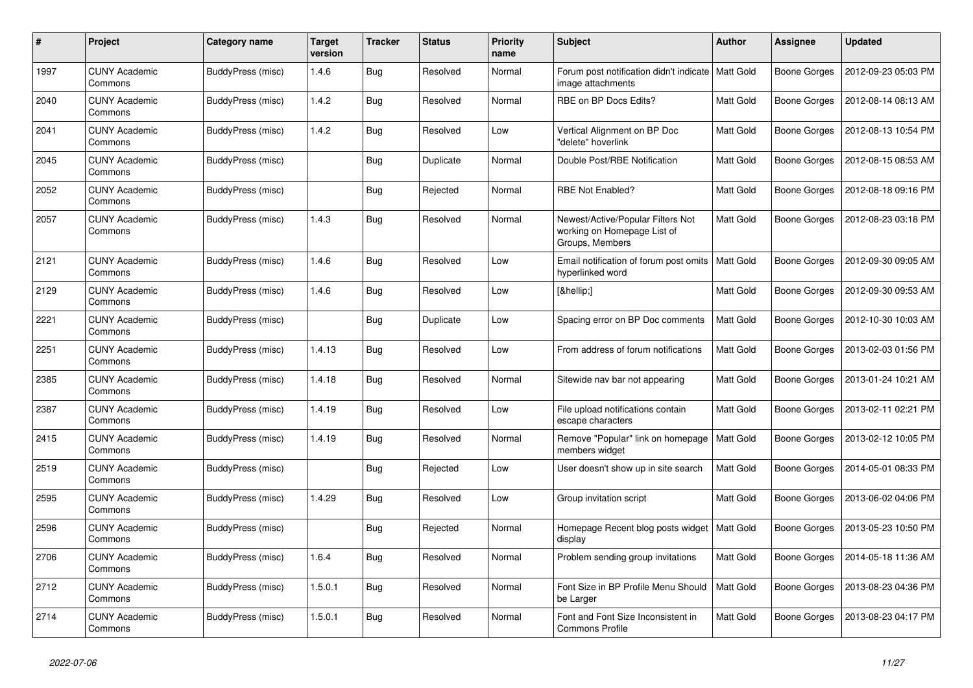| #    | Project                         | Category name            | Target<br>version | <b>Tracker</b> | <b>Status</b> | <b>Priority</b><br>name | <b>Subject</b>                                                                      | <b>Author</b>    | Assignee            | <b>Updated</b>      |
|------|---------------------------------|--------------------------|-------------------|----------------|---------------|-------------------------|-------------------------------------------------------------------------------------|------------------|---------------------|---------------------|
| 1997 | <b>CUNY Academic</b><br>Commons | <b>BuddyPress (misc)</b> | 1.4.6             | <b>Bug</b>     | Resolved      | Normal                  | Forum post notification didn't indicate  <br>image attachments                      | <b>Matt Gold</b> | Boone Gorges        | 2012-09-23 05:03 PM |
| 2040 | <b>CUNY Academic</b><br>Commons | <b>BuddyPress (misc)</b> | 1.4.2             | Bug            | Resolved      | Normal                  | RBE on BP Docs Edits?                                                               | Matt Gold        | Boone Gorges        | 2012-08-14 08:13 AM |
| 2041 | <b>CUNY Academic</b><br>Commons | BuddyPress (misc)        | 1.4.2             | Bug            | Resolved      | Low                     | Vertical Alignment on BP Doc<br>"delete" hoverlink                                  | Matt Gold        | Boone Gorges        | 2012-08-13 10:54 PM |
| 2045 | <b>CUNY Academic</b><br>Commons | BuddyPress (misc)        |                   | <b>Bug</b>     | Duplicate     | Normal                  | Double Post/RBE Notification                                                        | Matt Gold        | Boone Gorges        | 2012-08-15 08:53 AM |
| 2052 | <b>CUNY Academic</b><br>Commons | <b>BuddyPress (misc)</b> |                   | Bug            | Rejected      | Normal                  | <b>RBE Not Enabled?</b>                                                             | Matt Gold        | Boone Gorges        | 2012-08-18 09:16 PM |
| 2057 | <b>CUNY Academic</b><br>Commons | <b>BuddyPress (misc)</b> | 1.4.3             | <b>Bug</b>     | Resolved      | Normal                  | Newest/Active/Popular Filters Not<br>working on Homepage List of<br>Groups, Members | Matt Gold        | Boone Gorges        | 2012-08-23 03:18 PM |
| 2121 | <b>CUNY Academic</b><br>Commons | BuddyPress (misc)        | 1.4.6             | Bug            | Resolved      | Low                     | Email notification of forum post omits<br>hyperlinked word                          | <b>Matt Gold</b> | Boone Gorges        | 2012-09-30 09:05 AM |
| 2129 | <b>CUNY Academic</b><br>Commons | <b>BuddyPress (misc)</b> | 1.4.6             | <b>Bug</b>     | Resolved      | Low                     | […]                                                                                 | Matt Gold        | Boone Gorges        | 2012-09-30 09:53 AM |
| 2221 | <b>CUNY Academic</b><br>Commons | BuddyPress (misc)        |                   | Bug            | Duplicate     | Low                     | Spacing error on BP Doc comments                                                    | Matt Gold        | Boone Gorges        | 2012-10-30 10:03 AM |
| 2251 | <b>CUNY Academic</b><br>Commons | <b>BuddyPress (misc)</b> | 1.4.13            | Bug            | Resolved      | Low                     | From address of forum notifications                                                 | Matt Gold        | Boone Gorges        | 2013-02-03 01:56 PM |
| 2385 | <b>CUNY Academic</b><br>Commons | <b>BuddyPress (misc)</b> | 1.4.18            | <b>Bug</b>     | Resolved      | Normal                  | Sitewide nav bar not appearing                                                      | Matt Gold        | Boone Gorges        | 2013-01-24 10:21 AM |
| 2387 | <b>CUNY Academic</b><br>Commons | BuddyPress (misc)        | 1.4.19            | Bug            | Resolved      | Low                     | File upload notifications contain<br>escape characters                              | Matt Gold        | Boone Gorges        | 2013-02-11 02:21 PM |
| 2415 | <b>CUNY Academic</b><br>Commons | <b>BuddyPress (misc)</b> | 1.4.19            | <b>Bug</b>     | Resolved      | Normal                  | Remove "Popular" link on homepage<br>members widget                                 | Matt Gold        | Boone Gorges        | 2013-02-12 10:05 PM |
| 2519 | <b>CUNY Academic</b><br>Commons | BuddyPress (misc)        |                   | Bug            | Rejected      | Low                     | User doesn't show up in site search                                                 | Matt Gold        | Boone Gorges        | 2014-05-01 08:33 PM |
| 2595 | <b>CUNY Academic</b><br>Commons | BuddyPress (misc)        | 1.4.29            | Bug            | Resolved      | Low                     | Group invitation script                                                             | Matt Gold        | Boone Gorges        | 2013-06-02 04:06 PM |
| 2596 | <b>CUNY Academic</b><br>Commons | BuddyPress (misc)        |                   | <b>Bug</b>     | Rejected      | Normal                  | Homepage Recent blog posts widget<br>display                                        | <b>Matt Gold</b> | Boone Gorges        | 2013-05-23 10:50 PM |
| 2706 | <b>CUNY Academic</b><br>Commons | BuddyPress (misc)        | 1.6.4             | Bug            | Resolved      | Normal                  | Problem sending group invitations                                                   | Matt Gold        | <b>Boone Gorges</b> | 2014-05-18 11:36 AM |
| 2712 | <b>CUNY Academic</b><br>Commons | BuddyPress (misc)        | 1.5.0.1           | <b>Bug</b>     | Resolved      | Normal                  | Font Size in BP Profile Menu Should<br>be Larger                                    | Matt Gold        | Boone Gorges        | 2013-08-23 04:36 PM |
| 2714 | <b>CUNY Academic</b><br>Commons | <b>BuddyPress (misc)</b> | 1.5.0.1           | <b>Bug</b>     | Resolved      | Normal                  | Font and Font Size Inconsistent in<br><b>Commons Profile</b>                        | Matt Gold        | Boone Gorges        | 2013-08-23 04:17 PM |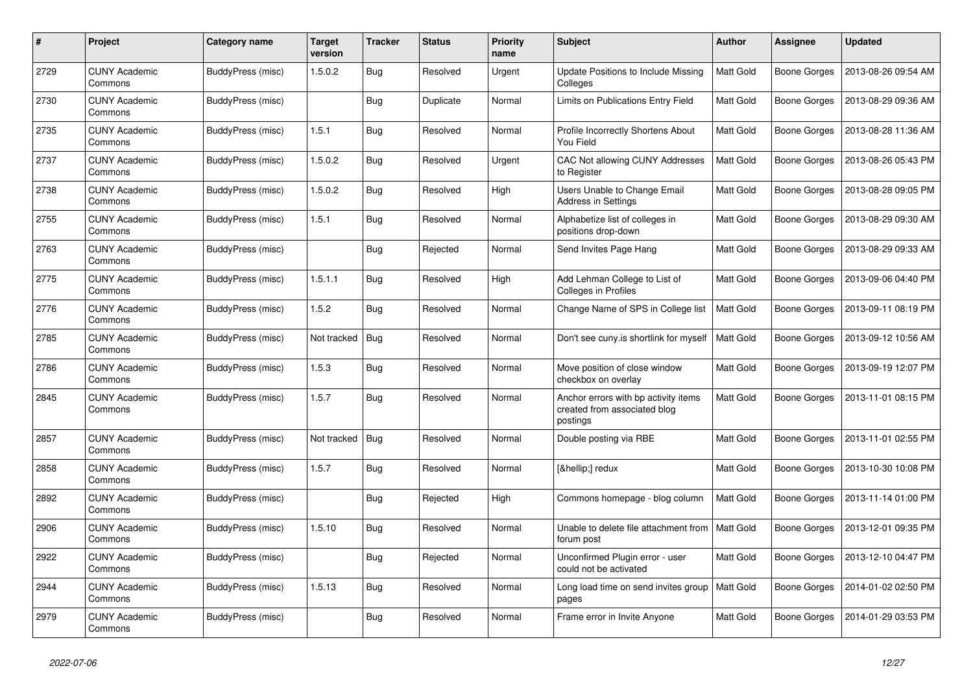| #    | Project                         | Category name            | Target<br>version | <b>Tracker</b> | <b>Status</b> | <b>Priority</b><br>name | <b>Subject</b>                                                                   | <b>Author</b>    | Assignee            | <b>Updated</b>      |
|------|---------------------------------|--------------------------|-------------------|----------------|---------------|-------------------------|----------------------------------------------------------------------------------|------------------|---------------------|---------------------|
| 2729 | <b>CUNY Academic</b><br>Commons | <b>BuddyPress (misc)</b> | 1.5.0.2           | <b>Bug</b>     | Resolved      | Urgent                  | <b>Update Positions to Include Missing</b><br>Colleges                           | Matt Gold        | <b>Boone Gorges</b> | 2013-08-26 09:54 AM |
| 2730 | <b>CUNY Academic</b><br>Commons | BuddyPress (misc)        |                   | Bug            | Duplicate     | Normal                  | Limits on Publications Entry Field                                               | Matt Gold        | <b>Boone Gorges</b> | 2013-08-29 09:36 AM |
| 2735 | <b>CUNY Academic</b><br>Commons | <b>BuddyPress (misc)</b> | 1.5.1             | Bug            | Resolved      | Normal                  | Profile Incorrectly Shortens About<br>You Field                                  | Matt Gold        | Boone Gorges        | 2013-08-28 11:36 AM |
| 2737 | <b>CUNY Academic</b><br>Commons | BuddyPress (misc)        | 1.5.0.2           | Bug            | Resolved      | Urgent                  | CAC Not allowing CUNY Addresses<br>to Register                                   | Matt Gold        | Boone Gorges        | 2013-08-26 05:43 PM |
| 2738 | <b>CUNY Academic</b><br>Commons | <b>BuddyPress (misc)</b> | 1.5.0.2           | <b>Bug</b>     | Resolved      | High                    | Users Unable to Change Email<br><b>Address in Settings</b>                       | Matt Gold        | Boone Gorges        | 2013-08-28 09:05 PM |
| 2755 | <b>CUNY Academic</b><br>Commons | <b>BuddyPress (misc)</b> | 1.5.1             | Bug            | Resolved      | Normal                  | Alphabetize list of colleges in<br>positions drop-down                           | Matt Gold        | Boone Gorges        | 2013-08-29 09:30 AM |
| 2763 | <b>CUNY Academic</b><br>Commons | BuddyPress (misc)        |                   | Bug            | Rejected      | Normal                  | Send Invites Page Hang                                                           | Matt Gold        | Boone Gorges        | 2013-08-29 09:33 AM |
| 2775 | <b>CUNY Academic</b><br>Commons | <b>BuddyPress (misc)</b> | 1.5.1.1           | Bug            | Resolved      | High                    | Add Lehman College to List of<br><b>Colleges in Profiles</b>                     | Matt Gold        | Boone Gorges        | 2013-09-06 04:40 PM |
| 2776 | CUNY Academic<br>Commons        | BuddyPress (misc)        | 1.5.2             | Bug            | Resolved      | Normal                  | Change Name of SPS in College list                                               | Matt Gold        | <b>Boone Gorges</b> | 2013-09-11 08:19 PM |
| 2785 | <b>CUNY Academic</b><br>Commons | BuddyPress (misc)        | Not tracked       | Bug            | Resolved      | Normal                  | Don't see cuny.is shortlink for myself                                           | Matt Gold        | Boone Gorges        | 2013-09-12 10:56 AM |
| 2786 | <b>CUNY Academic</b><br>Commons | BuddyPress (misc)        | 1.5.3             | Bug            | Resolved      | Normal                  | Move position of close window<br>checkbox on overlay                             | Matt Gold        | Boone Gorges        | 2013-09-19 12:07 PM |
| 2845 | <b>CUNY Academic</b><br>Commons | BuddyPress (misc)        | 1.5.7             | <b>Bug</b>     | Resolved      | Normal                  | Anchor errors with bp activity items<br>created from associated blog<br>postings | Matt Gold        | Boone Gorges        | 2013-11-01 08:15 PM |
| 2857 | <b>CUNY Academic</b><br>Commons | BuddyPress (misc)        | Not tracked       | Bug            | Resolved      | Normal                  | Double posting via RBE                                                           | <b>Matt Gold</b> | Boone Gorges        | 2013-11-01 02:55 PM |
| 2858 | <b>CUNY Academic</b><br>Commons | <b>BuddyPress (misc)</b> | 1.5.7             | <b>Bug</b>     | Resolved      | Normal                  | […] redux                                                                        | Matt Gold        | Boone Gorges        | 2013-10-30 10:08 PM |
| 2892 | <b>CUNY Academic</b><br>Commons | <b>BuddyPress (misc)</b> |                   | <b>Bug</b>     | Rejected      | High                    | Commons homepage - blog column                                                   | Matt Gold        | Boone Gorges        | 2013-11-14 01:00 PM |
| 2906 | <b>CUNY Academic</b><br>Commons | <b>BuddyPress (misc)</b> | 1.5.10            | Bug            | Resolved      | Normal                  | Unable to delete file attachment from<br>forum post                              | Matt Gold        | Boone Gorges        | 2013-12-01 09:35 PM |
| 2922 | <b>CUNY Academic</b><br>Commons | <b>BuddyPress (misc)</b> |                   | Bug            | Rejected      | Normal                  | Unconfirmed Plugin error - user<br>could not be activated                        | Matt Gold        | Boone Gorges        | 2013-12-10 04:47 PM |
| 2944 | <b>CUNY Academic</b><br>Commons | BuddyPress (misc)        | 1.5.13            | Bug            | Resolved      | Normal                  | Long load time on send invites group<br>pages                                    | Matt Gold        | Boone Gorges        | 2014-01-02 02:50 PM |
| 2979 | <b>CUNY Academic</b><br>Commons | BuddyPress (misc)        |                   | Bug            | Resolved      | Normal                  | Frame error in Invite Anyone                                                     | Matt Gold        | Boone Gorges        | 2014-01-29 03:53 PM |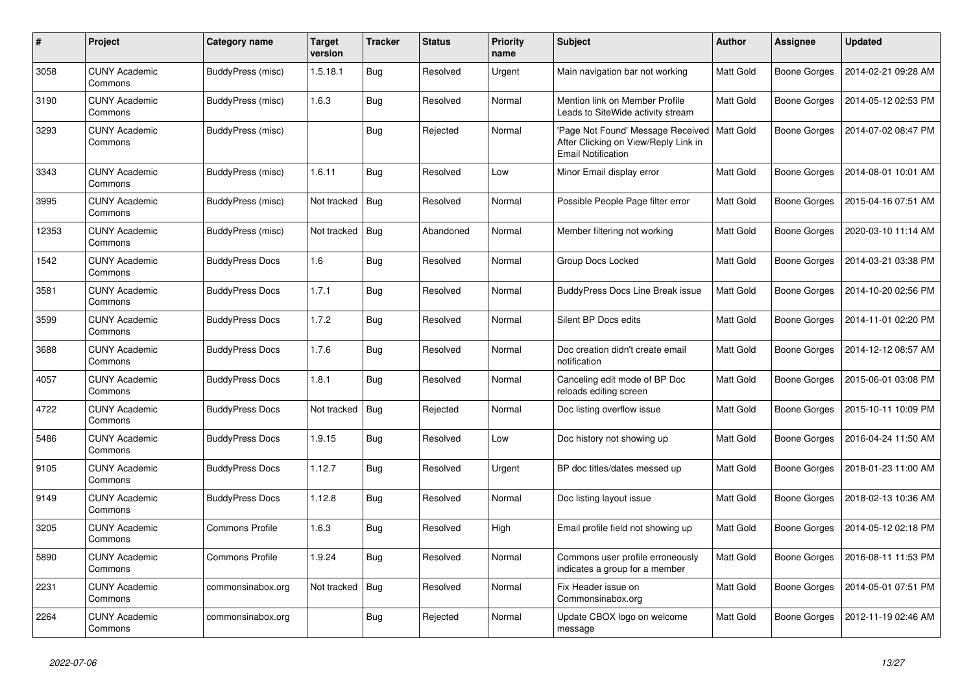| #     | Project                         | Category name            | Target<br>version | <b>Tracker</b> | <b>Status</b> | <b>Priority</b><br>name | <b>Subject</b>                                                                                                    | <b>Author</b> | <b>Assignee</b>     | <b>Updated</b>      |
|-------|---------------------------------|--------------------------|-------------------|----------------|---------------|-------------------------|-------------------------------------------------------------------------------------------------------------------|---------------|---------------------|---------------------|
| 3058  | <b>CUNY Academic</b><br>Commons | BuddyPress (misc)        | 1.5.18.1          | <b>Bug</b>     | Resolved      | Urgent                  | Main navigation bar not working                                                                                   | Matt Gold     | Boone Gorges        | 2014-02-21 09:28 AM |
| 3190  | <b>CUNY Academic</b><br>Commons | BuddyPress (misc)        | 1.6.3             | <b>Bug</b>     | Resolved      | Normal                  | Mention link on Member Profile<br>Leads to SiteWide activity stream                                               | Matt Gold     | Boone Gorges        | 2014-05-12 02:53 PM |
| 3293  | <b>CUNY Academic</b><br>Commons | BuddyPress (misc)        |                   | Bug            | Rejected      | Normal                  | Page Not Found' Message Received   Matt Gold<br>After Clicking on View/Reply Link in<br><b>Email Notification</b> |               | <b>Boone Gorges</b> | 2014-07-02 08:47 PM |
| 3343  | <b>CUNY Academic</b><br>Commons | <b>BuddyPress (misc)</b> | 1.6.11            | <b>Bug</b>     | Resolved      | Low                     | Minor Email display error                                                                                         | Matt Gold     | Boone Gorges        | 2014-08-01 10:01 AM |
| 3995  | <b>CUNY Academic</b><br>Commons | BuddyPress (misc)        | Not tracked       | Bug            | Resolved      | Normal                  | Possible People Page filter error                                                                                 | Matt Gold     | Boone Gorges        | 2015-04-16 07:51 AM |
| 12353 | <b>CUNY Academic</b><br>Commons | BuddyPress (misc)        | Not tracked       | Bug            | Abandoned     | Normal                  | Member filtering not working                                                                                      | Matt Gold     | Boone Gorges        | 2020-03-10 11:14 AM |
| 1542  | <b>CUNY Academic</b><br>Commons | <b>BuddyPress Docs</b>   | 1.6               | Bug            | Resolved      | Normal                  | Group Docs Locked                                                                                                 | Matt Gold     | Boone Gorges        | 2014-03-21 03:38 PM |
| 3581  | <b>CUNY Academic</b><br>Commons | <b>BuddyPress Docs</b>   | 1.7.1             | Bug            | Resolved      | Normal                  | <b>BuddyPress Docs Line Break issue</b>                                                                           | Matt Gold     | Boone Gorges        | 2014-10-20 02:56 PM |
| 3599  | <b>CUNY Academic</b><br>Commons | <b>BuddyPress Docs</b>   | 1.7.2             | Bug            | Resolved      | Normal                  | Silent BP Docs edits                                                                                              | Matt Gold     | Boone Gorges        | 2014-11-01 02:20 PM |
| 3688  | <b>CUNY Academic</b><br>Commons | <b>BuddyPress Docs</b>   | 1.7.6             | Bug            | Resolved      | Normal                  | Doc creation didn't create email<br>notification                                                                  | Matt Gold     | Boone Gorges        | 2014-12-12 08:57 AM |
| 4057  | <b>CUNY Academic</b><br>Commons | <b>BuddyPress Docs</b>   | 1.8.1             | Bug            | Resolved      | Normal                  | Canceling edit mode of BP Doc<br>reloads editing screen                                                           | Matt Gold     | Boone Gorges        | 2015-06-01 03:08 PM |
| 4722  | <b>CUNY Academic</b><br>Commons | <b>BuddyPress Docs</b>   | Not tracked       | Bug            | Rejected      | Normal                  | Doc listing overflow issue                                                                                        | Matt Gold     | Boone Gorges        | 2015-10-11 10:09 PM |
| 5486  | <b>CUNY Academic</b><br>Commons | <b>BuddyPress Docs</b>   | 1.9.15            | <b>Bug</b>     | Resolved      | Low                     | Doc history not showing up                                                                                        | Matt Gold     | Boone Gorges        | 2016-04-24 11:50 AM |
| 9105  | <b>CUNY Academic</b><br>Commons | <b>BuddyPress Docs</b>   | 1.12.7            | <b>Bug</b>     | Resolved      | Urgent                  | BP doc titles/dates messed up                                                                                     | Matt Gold     | Boone Gorges        | 2018-01-23 11:00 AM |
| 9149  | <b>CUNY Academic</b><br>Commons | <b>BuddyPress Docs</b>   | 1.12.8            | Bug            | Resolved      | Normal                  | Doc listing layout issue                                                                                          | Matt Gold     | Boone Gorges        | 2018-02-13 10:36 AM |
| 3205  | <b>CUNY Academic</b><br>Commons | <b>Commons Profile</b>   | 1.6.3             | Bug            | Resolved      | High                    | Email profile field not showing up                                                                                | Matt Gold     | Boone Gorges        | 2014-05-12 02:18 PM |
| 5890  | CUNY Academic<br>Commons        | <b>Commons Profile</b>   | 1.9.24            | Bug            | Resolved      | Normal                  | Commons user profile erroneously<br>indicates a group for a member                                                | Matt Gold     | Boone Gorges        | 2016-08-11 11:53 PM |
| 2231  | <b>CUNY Academic</b><br>Commons | commonsinabox.org        | Not tracked       | Bug            | Resolved      | Normal                  | Fix Header issue on<br>Commonsinabox.org                                                                          | Matt Gold     | Boone Gorges        | 2014-05-01 07:51 PM |
| 2264  | <b>CUNY Academic</b><br>Commons | commonsinabox.org        |                   | <b>Bug</b>     | Rejected      | Normal                  | Update CBOX logo on welcome<br>message                                                                            | Matt Gold     | Boone Gorges        | 2012-11-19 02:46 AM |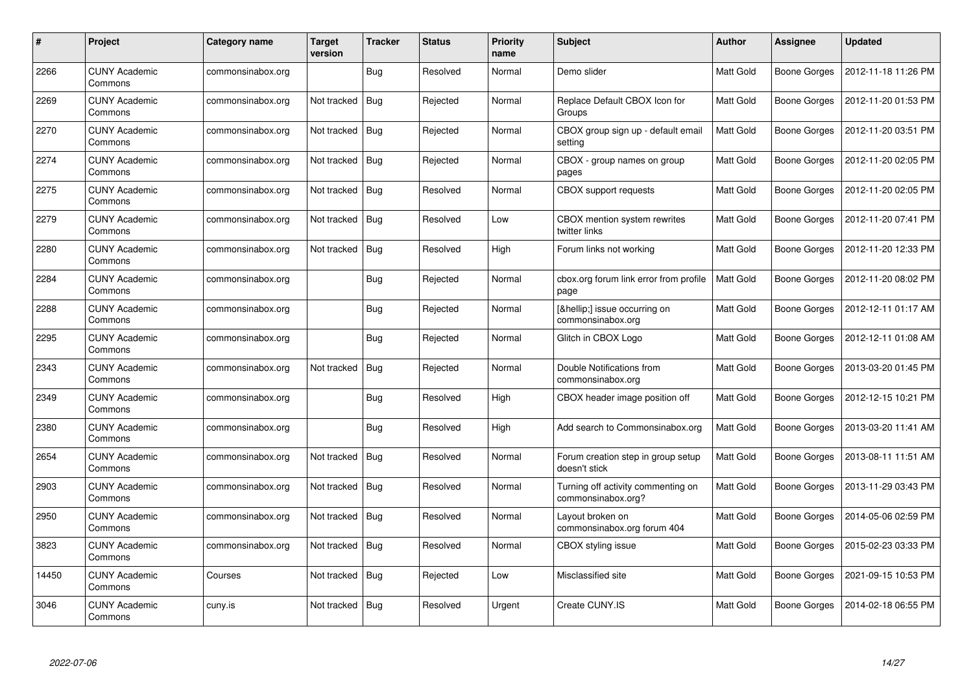| #     | <b>Project</b>                  | Category name     | Target<br>version | <b>Tracker</b> | <b>Status</b> | <b>Priority</b><br>name | <b>Subject</b>                                           | <b>Author</b> | Assignee            | <b>Updated</b>      |
|-------|---------------------------------|-------------------|-------------------|----------------|---------------|-------------------------|----------------------------------------------------------|---------------|---------------------|---------------------|
| 2266  | <b>CUNY Academic</b><br>Commons | commonsinabox.org |                   | <b>Bug</b>     | Resolved      | Normal                  | Demo slider                                              | Matt Gold     | Boone Gorges        | 2012-11-18 11:26 PM |
| 2269  | <b>CUNY Academic</b><br>Commons | commonsinabox.org | Not tracked       | Bug            | Rejected      | Normal                  | Replace Default CBOX Icon for<br>Groups                  | Matt Gold     | Boone Gorges        | 2012-11-20 01:53 PM |
| 2270  | <b>CUNY Academic</b><br>Commons | commonsinabox.org | Not tracked       | Bug            | Rejected      | Normal                  | CBOX group sign up - default email<br>setting            | Matt Gold     | <b>Boone Gorges</b> | 2012-11-20 03:51 PM |
| 2274  | <b>CUNY Academic</b><br>Commons | commonsinabox.org | Not tracked       | Bug            | Rejected      | Normal                  | CBOX - group names on group<br>pages                     | Matt Gold     | Boone Gorges        | 2012-11-20 02:05 PM |
| 2275  | <b>CUNY Academic</b><br>Commons | commonsinabox.org | Not tracked       | Bug            | Resolved      | Normal                  | <b>CBOX</b> support requests                             | Matt Gold     | Boone Gorges        | 2012-11-20 02:05 PM |
| 2279  | <b>CUNY Academic</b><br>Commons | commonsinabox.org | Not tracked       | Bug            | Resolved      | Low                     | CBOX mention system rewrites<br>twitter links            | Matt Gold     | Boone Gorges        | 2012-11-20 07:41 PM |
| 2280  | <b>CUNY Academic</b><br>Commons | commonsinabox.org | Not tracked       | <b>Bug</b>     | Resolved      | High                    | Forum links not working                                  | Matt Gold     | Boone Gorges        | 2012-11-20 12:33 PM |
| 2284  | <b>CUNY Academic</b><br>Commons | commonsinabox.org |                   | <b>Bug</b>     | Rejected      | Normal                  | cbox.org forum link error from profile<br>page           | Matt Gold     | Boone Gorges        | 2012-11-20 08:02 PM |
| 2288  | <b>CUNY Academic</b><br>Commons | commonsinabox.org |                   | Bug            | Rejected      | Normal                  | […] issue occurring on<br>commonsinabox.org              | Matt Gold     | Boone Gorges        | 2012-12-11 01:17 AM |
| 2295  | <b>CUNY Academic</b><br>Commons | commonsinabox.org |                   | Bug            | Rejected      | Normal                  | Glitch in CBOX Logo                                      | Matt Gold     | Boone Gorges        | 2012-12-11 01:08 AM |
| 2343  | <b>CUNY Academic</b><br>Commons | commonsinabox.org | Not tracked       | <b>Bug</b>     | Rejected      | Normal                  | Double Notifications from<br>commonsinabox.org           | Matt Gold     | <b>Boone Gorges</b> | 2013-03-20 01:45 PM |
| 2349  | <b>CUNY Academic</b><br>Commons | commonsinabox.org |                   | <b>Bug</b>     | Resolved      | High                    | CBOX header image position off                           | Matt Gold     | <b>Boone Gorges</b> | 2012-12-15 10:21 PM |
| 2380  | <b>CUNY Academic</b><br>Commons | commonsinabox.org |                   | Bug            | Resolved      | High                    | Add search to Commonsinabox.org                          | Matt Gold     | Boone Gorges        | 2013-03-20 11:41 AM |
| 2654  | <b>CUNY Academic</b><br>Commons | commonsinabox.org | Not tracked       | Bug            | Resolved      | Normal                  | Forum creation step in group setup<br>doesn't stick      | Matt Gold     | Boone Gorges        | 2013-08-11 11:51 AM |
| 2903  | <b>CUNY Academic</b><br>Commons | commonsinabox.org | Not tracked       | <b>Bug</b>     | Resolved      | Normal                  | Turning off activity commenting on<br>commonsinabox.org? | Matt Gold     | Boone Gorges        | 2013-11-29 03:43 PM |
| 2950  | <b>CUNY Academic</b><br>Commons | commonsinabox.org | Not tracked       | Bug            | Resolved      | Normal                  | Layout broken on<br>commonsinabox.org forum 404          | Matt Gold     | Boone Gorges        | 2014-05-06 02:59 PM |
| 3823  | <b>CUNY Academic</b><br>Commons | commonsinabox.org | Not tracked       | Bug            | Resolved      | Normal                  | CBOX styling issue                                       | Matt Gold     | Boone Gorges        | 2015-02-23 03:33 PM |
| 14450 | <b>CUNY Academic</b><br>Commons | Courses           | Not tracked       | <b>Bug</b>     | Rejected      | Low                     | Misclassified site                                       | Matt Gold     | Boone Gorges        | 2021-09-15 10:53 PM |
| 3046  | <b>CUNY Academic</b><br>Commons | cuny.is           | Not tracked       | <b>Bug</b>     | Resolved      | Urgent                  | Create CUNY.IS                                           | Matt Gold     | Boone Gorges        | 2014-02-18 06:55 PM |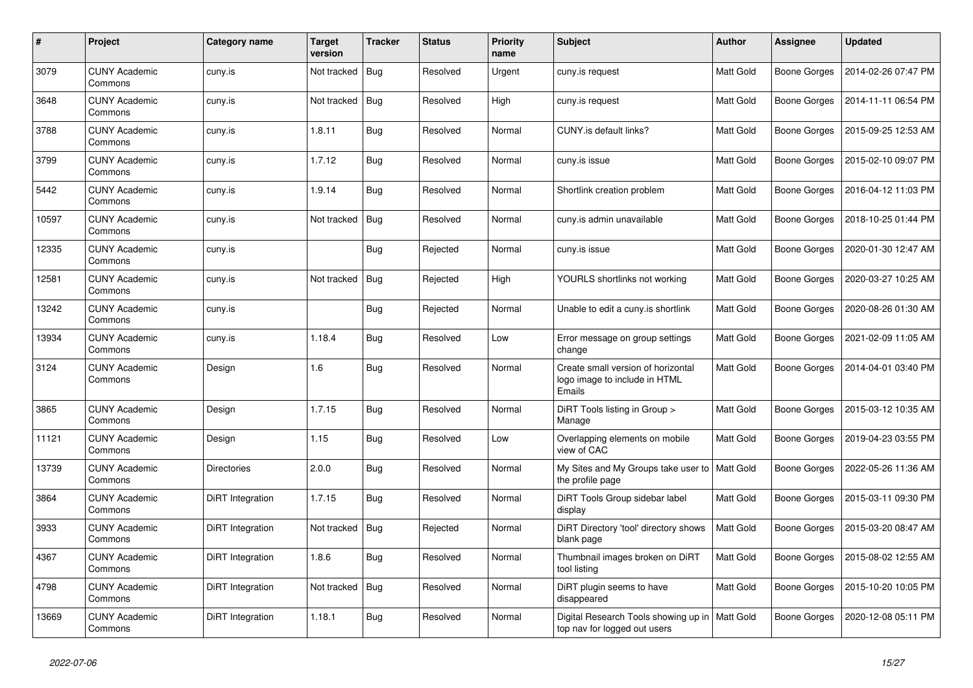| #     | Project                         | Category name      | Target<br>version | <b>Tracker</b> | <b>Status</b> | <b>Priority</b><br>name | <b>Subject</b>                                                                   | Author           | Assignee            | <b>Updated</b>      |
|-------|---------------------------------|--------------------|-------------------|----------------|---------------|-------------------------|----------------------------------------------------------------------------------|------------------|---------------------|---------------------|
| 3079  | <b>CUNY Academic</b><br>Commons | cuny.is            | Not tracked       | <b>Bug</b>     | Resolved      | Urgent                  | cuny.is request                                                                  | Matt Gold        | Boone Gorges        | 2014-02-26 07:47 PM |
| 3648  | <b>CUNY Academic</b><br>Commons | cuny.is            | Not tracked       | <b>Bug</b>     | Resolved      | High                    | cuny.is request                                                                  | Matt Gold        | Boone Gorges        | 2014-11-11 06:54 PM |
| 3788  | <b>CUNY Academic</b><br>Commons | cuny.is            | 1.8.11            | Bug            | Resolved      | Normal                  | CUNY.is default links?                                                           | Matt Gold        | Boone Gorges        | 2015-09-25 12:53 AM |
| 3799  | <b>CUNY Academic</b><br>Commons | cuny.is            | 1.7.12            | Bug            | Resolved      | Normal                  | cuny.is issue                                                                    | Matt Gold        | Boone Gorges        | 2015-02-10 09:07 PM |
| 5442  | <b>CUNY Academic</b><br>Commons | cuny.is            | 1.9.14            | Bug            | Resolved      | Normal                  | Shortlink creation problem                                                       | Matt Gold        | Boone Gorges        | 2016-04-12 11:03 PM |
| 10597 | <b>CUNY Academic</b><br>Commons | cuny.is            | Not tracked       | <b>Bug</b>     | Resolved      | Normal                  | cuny.is admin unavailable                                                        | Matt Gold        | Boone Gorges        | 2018-10-25 01:44 PM |
| 12335 | <b>CUNY Academic</b><br>Commons | cuny.is            |                   | Bug            | Rejected      | Normal                  | cuny.is issue                                                                    | Matt Gold        | Boone Gorges        | 2020-01-30 12:47 AM |
| 12581 | <b>CUNY Academic</b><br>Commons | cuny.is            | Not tracked       | Bug            | Rejected      | High                    | YOURLS shortlinks not working                                                    | Matt Gold        | Boone Gorges        | 2020-03-27 10:25 AM |
| 13242 | <b>CUNY Academic</b><br>Commons | cuny.is            |                   | Bug            | Rejected      | Normal                  | Unable to edit a cuny is shortlink                                               | Matt Gold        | <b>Boone Gorges</b> | 2020-08-26 01:30 AM |
| 13934 | <b>CUNY Academic</b><br>Commons | cuny.is            | 1.18.4            | <b>Bug</b>     | Resolved      | Low                     | Error message on group settings<br>change                                        | Matt Gold        | Boone Gorges        | 2021-02-09 11:05 AM |
| 3124  | <b>CUNY Academic</b><br>Commons | Design             | 1.6               | Bug            | Resolved      | Normal                  | Create small version of horizontal<br>logo image to include in HTML<br>Emails    | Matt Gold        | Boone Gorges        | 2014-04-01 03:40 PM |
| 3865  | <b>CUNY Academic</b><br>Commons | Design             | 1.7.15            | <b>Bug</b>     | Resolved      | Normal                  | DiRT Tools listing in Group ><br>Manage                                          | Matt Gold        | Boone Gorges        | 2015-03-12 10:35 AM |
| 11121 | <b>CUNY Academic</b><br>Commons | Design             | 1.15              | Bug            | Resolved      | Low                     | Overlapping elements on mobile<br>view of CAC                                    | Matt Gold        | Boone Gorges        | 2019-04-23 03:55 PM |
| 13739 | <b>CUNY Academic</b><br>Commons | <b>Directories</b> | 2.0.0             | <b>Bug</b>     | Resolved      | Normal                  | My Sites and My Groups take user to<br>the profile page                          | Matt Gold        | Boone Gorges        | 2022-05-26 11:36 AM |
| 3864  | <b>CUNY Academic</b><br>Commons | DiRT Integration   | 1.7.15            | <b>Bug</b>     | Resolved      | Normal                  | DiRT Tools Group sidebar label<br>display                                        | Matt Gold        | Boone Gorges        | 2015-03-11 09:30 PM |
| 3933  | <b>CUNY Academic</b><br>Commons | DiRT Integration   | Not tracked       | <b>Bug</b>     | Rejected      | Normal                  | DiRT Directory 'tool' directory shows<br>blank page                              | <b>Matt Gold</b> | Boone Gorges        | 2015-03-20 08:47 AM |
| 4367  | <b>CUNY Academic</b><br>Commons | DiRT Integration   | 1.8.6             | Bug            | Resolved      | Normal                  | Thumbnail images broken on DiRT<br>tool listing                                  | Matt Gold        | Boone Gorges        | 2015-08-02 12:55 AM |
| 4798  | <b>CUNY Academic</b><br>Commons | DiRT Integration   | Not tracked       | Bug            | Resolved      | Normal                  | DiRT plugin seems to have<br>disappeared                                         | Matt Gold        | Boone Gorges        | 2015-10-20 10:05 PM |
| 13669 | <b>CUNY Academic</b><br>Commons | DiRT Integration   | 1.18.1            | <b>Bug</b>     | Resolved      | Normal                  | Digital Research Tools showing up in   Matt Gold<br>top nav for logged out users |                  | Boone Gorges        | 2020-12-08 05:11 PM |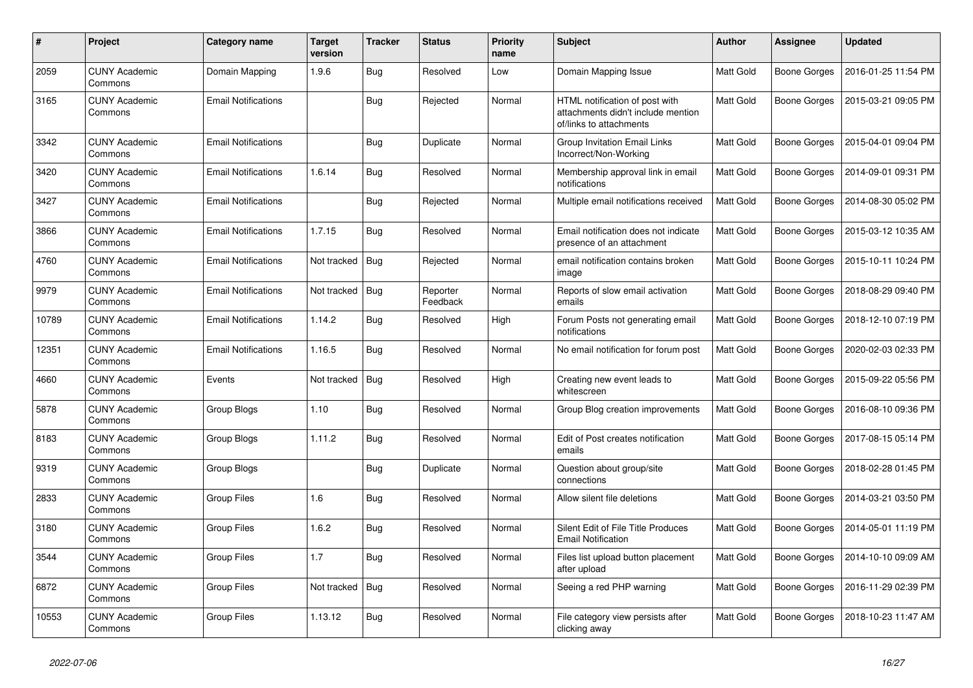| #     | Project                         | Category name              | Target<br>version | <b>Tracker</b> | <b>Status</b>        | Priority<br>name | <b>Subject</b>                                                                                  | <b>Author</b> | <b>Assignee</b> | <b>Updated</b>      |
|-------|---------------------------------|----------------------------|-------------------|----------------|----------------------|------------------|-------------------------------------------------------------------------------------------------|---------------|-----------------|---------------------|
| 2059  | <b>CUNY Academic</b><br>Commons | Domain Mapping             | 1.9.6             | Bug            | Resolved             | Low              | Domain Mapping Issue                                                                            | Matt Gold     | Boone Gorges    | 2016-01-25 11:54 PM |
| 3165  | <b>CUNY Academic</b><br>Commons | <b>Email Notifications</b> |                   | <b>Bug</b>     | Rejected             | Normal           | HTML notification of post with<br>attachments didn't include mention<br>of/links to attachments | Matt Gold     | Boone Gorges    | 2015-03-21 09:05 PM |
| 3342  | <b>CUNY Academic</b><br>Commons | <b>Email Notifications</b> |                   | <b>Bug</b>     | Duplicate            | Normal           | <b>Group Invitation Email Links</b><br>Incorrect/Non-Working                                    | Matt Gold     | Boone Gorges    | 2015-04-01 09:04 PM |
| 3420  | <b>CUNY Academic</b><br>Commons | <b>Email Notifications</b> | 1.6.14            | <b>Bug</b>     | Resolved             | Normal           | Membership approval link in email<br>notifications                                              | Matt Gold     | Boone Gorges    | 2014-09-01 09:31 PM |
| 3427  | <b>CUNY Academic</b><br>Commons | <b>Email Notifications</b> |                   | <b>Bug</b>     | Rejected             | Normal           | Multiple email notifications received                                                           | Matt Gold     | Boone Gorges    | 2014-08-30 05:02 PM |
| 3866  | <b>CUNY Academic</b><br>Commons | <b>Email Notifications</b> | 1.7.15            | <b>Bug</b>     | Resolved             | Normal           | Email notification does not indicate<br>presence of an attachment                               | Matt Gold     | Boone Gorges    | 2015-03-12 10:35 AM |
| 4760  | <b>CUNY Academic</b><br>Commons | <b>Email Notifications</b> | Not tracked       | Bug            | Rejected             | Normal           | email notification contains broken<br>image                                                     | Matt Gold     | Boone Gorges    | 2015-10-11 10:24 PM |
| 9979  | <b>CUNY Academic</b><br>Commons | <b>Email Notifications</b> | Not tracked       | <b>Bug</b>     | Reporter<br>Feedback | Normal           | Reports of slow email activation<br>emails                                                      | Matt Gold     | Boone Gorges    | 2018-08-29 09:40 PM |
| 10789 | <b>CUNY Academic</b><br>Commons | <b>Email Notifications</b> | 1.14.2            | <b>Bug</b>     | Resolved             | High             | Forum Posts not generating email<br>notifications                                               | Matt Gold     | Boone Gorges    | 2018-12-10 07:19 PM |
| 12351 | <b>CUNY Academic</b><br>Commons | <b>Email Notifications</b> | 1.16.5            | Bug            | Resolved             | Normal           | No email notification for forum post                                                            | Matt Gold     | Boone Gorges    | 2020-02-03 02:33 PM |
| 4660  | <b>CUNY Academic</b><br>Commons | Events                     | Not tracked       | <b>Bug</b>     | Resolved             | High             | Creating new event leads to<br>whitescreen                                                      | Matt Gold     | Boone Gorges    | 2015-09-22 05:56 PM |
| 5878  | <b>CUNY Academic</b><br>Commons | Group Blogs                | 1.10              | Bug            | Resolved             | Normal           | Group Blog creation improvements                                                                | Matt Gold     | Boone Gorges    | 2016-08-10 09:36 PM |
| 8183  | <b>CUNY Academic</b><br>Commons | Group Blogs                | 1.11.2            | Bug            | Resolved             | Normal           | Edit of Post creates notification<br>emails                                                     | Matt Gold     | Boone Gorges    | 2017-08-15 05:14 PM |
| 9319  | <b>CUNY Academic</b><br>Commons | Group Blogs                |                   | Bug            | Duplicate            | Normal           | Question about group/site<br>connections                                                        | Matt Gold     | Boone Gorges    | 2018-02-28 01:45 PM |
| 2833  | <b>CUNY Academic</b><br>Commons | <b>Group Files</b>         | 1.6               | <b>Bug</b>     | Resolved             | Normal           | Allow silent file deletions                                                                     | Matt Gold     | Boone Gorges    | 2014-03-21 03:50 PM |
| 3180  | <b>CUNY Academic</b><br>Commons | Group Files                | 1.6.2             | Bug            | Resolved             | Normal           | Silent Edit of File Title Produces<br><b>Email Notification</b>                                 | Matt Gold     | Boone Gorges    | 2014-05-01 11:19 PM |
| 3544  | <b>CUNY Academic</b><br>Commons | Group Files                | 1.7               | Bug            | Resolved             | Normal           | Files list upload button placement<br>after upload                                              | Matt Gold     | Boone Gorges    | 2014-10-10 09:09 AM |
| 6872  | <b>CUNY Academic</b><br>Commons | <b>Group Files</b>         | Not tracked       | <b>Bug</b>     | Resolved             | Normal           | Seeing a red PHP warning                                                                        | Matt Gold     | Boone Gorges    | 2016-11-29 02:39 PM |
| 10553 | <b>CUNY Academic</b><br>Commons | Group Files                | 1.13.12           | <b>Bug</b>     | Resolved             | Normal           | File category view persists after<br>clicking away                                              | Matt Gold     | Boone Gorges    | 2018-10-23 11:47 AM |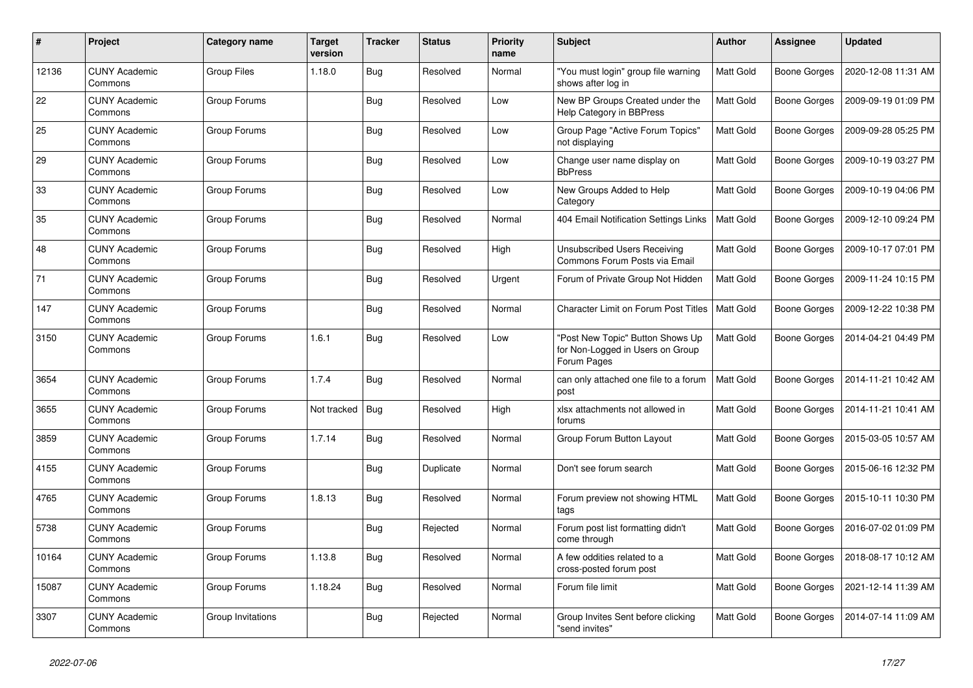| #     | Project                         | Category name     | <b>Target</b><br>version | <b>Tracker</b> | <b>Status</b> | <b>Priority</b><br>name | <b>Subject</b>                                                                      | <b>Author</b>    | Assignee            | <b>Updated</b>      |
|-------|---------------------------------|-------------------|--------------------------|----------------|---------------|-------------------------|-------------------------------------------------------------------------------------|------------------|---------------------|---------------------|
| 12136 | <b>CUNY Academic</b><br>Commons | Group Files       | 1.18.0                   | <b>Bug</b>     | Resolved      | Normal                  | "You must login" group file warning<br>shows after log in                           | Matt Gold        | <b>Boone Gorges</b> | 2020-12-08 11:31 AM |
| 22    | <b>CUNY Academic</b><br>Commons | Group Forums      |                          | <b>Bug</b>     | Resolved      | Low                     | New BP Groups Created under the<br>Help Category in BBPress                         | Matt Gold        | <b>Boone Gorges</b> | 2009-09-19 01:09 PM |
| 25    | <b>CUNY Academic</b><br>Commons | Group Forums      |                          | Bug            | Resolved      | Low                     | Group Page "Active Forum Topics"<br>not displaying                                  | Matt Gold        | <b>Boone Gorges</b> | 2009-09-28 05:25 PM |
| 29    | <b>CUNY Academic</b><br>Commons | Group Forums      |                          | <b>Bug</b>     | Resolved      | Low                     | Change user name display on<br><b>BbPress</b>                                       | Matt Gold        | <b>Boone Gorges</b> | 2009-10-19 03:27 PM |
| 33    | <b>CUNY Academic</b><br>Commons | Group Forums      |                          | <b>Bug</b>     | Resolved      | Low                     | New Groups Added to Help<br>Category                                                | Matt Gold        | Boone Gorges        | 2009-10-19 04:06 PM |
| 35    | <b>CUNY Academic</b><br>Commons | Group Forums      |                          | Bug            | Resolved      | Normal                  | 404 Email Notification Settings Links                                               | Matt Gold        | <b>Boone Gorges</b> | 2009-12-10 09:24 PM |
| 48    | <b>CUNY Academic</b><br>Commons | Group Forums      |                          | <b>Bug</b>     | Resolved      | High                    | Unsubscribed Users Receiving<br>Commons Forum Posts via Email                       | Matt Gold        | <b>Boone Gorges</b> | 2009-10-17 07:01 PM |
| 71    | <b>CUNY Academic</b><br>Commons | Group Forums      |                          | Bug            | Resolved      | Urgent                  | Forum of Private Group Not Hidden                                                   | Matt Gold        | Boone Gorges        | 2009-11-24 10:15 PM |
| 147   | <b>CUNY Academic</b><br>Commons | Group Forums      |                          | Bug            | Resolved      | Normal                  | <b>Character Limit on Forum Post Titles</b>                                         | Matt Gold        | <b>Boone Gorges</b> | 2009-12-22 10:38 PM |
| 3150  | <b>CUNY Academic</b><br>Commons | Group Forums      | 1.6.1                    | <b>Bug</b>     | Resolved      | Low                     | "Post New Topic" Button Shows Up<br>for Non-Logged in Users on Group<br>Forum Pages | Matt Gold        | <b>Boone Gorges</b> | 2014-04-21 04:49 PM |
| 3654  | <b>CUNY Academic</b><br>Commons | Group Forums      | 1.7.4                    | Bug            | Resolved      | Normal                  | can only attached one file to a forum<br>post                                       | Matt Gold        | <b>Boone Gorges</b> | 2014-11-21 10:42 AM |
| 3655  | <b>CUNY Academic</b><br>Commons | Group Forums      | Not tracked              | Bug            | Resolved      | High                    | xlsx attachments not allowed in<br>forums                                           | Matt Gold        | <b>Boone Gorges</b> | 2014-11-21 10:41 AM |
| 3859  | <b>CUNY Academic</b><br>Commons | Group Forums      | 1.7.14                   | Bug            | Resolved      | Normal                  | Group Forum Button Layout                                                           | <b>Matt Gold</b> | <b>Boone Gorges</b> | 2015-03-05 10:57 AM |
| 4155  | <b>CUNY Academic</b><br>Commons | Group Forums      |                          | Bug            | Duplicate     | Normal                  | Don't see forum search                                                              | Matt Gold        | <b>Boone Gorges</b> | 2015-06-16 12:32 PM |
| 4765  | <b>CUNY Academic</b><br>Commons | Group Forums      | 1.8.13                   | Bug            | Resolved      | Normal                  | Forum preview not showing HTML<br>tags                                              | Matt Gold        | <b>Boone Gorges</b> | 2015-10-11 10:30 PM |
| 5738  | <b>CUNY Academic</b><br>Commons | Group Forums      |                          | Bug            | Rejected      | Normal                  | Forum post list formatting didn't<br>come through                                   | Matt Gold        | <b>Boone Gorges</b> | 2016-07-02 01:09 PM |
| 10164 | <b>CUNY Academic</b><br>Commons | Group Forums      | 1.13.8                   | Bug            | Resolved      | Normal                  | A few oddities related to a<br>cross-posted forum post                              | Matt Gold        | Boone Gorges        | 2018-08-17 10:12 AM |
| 15087 | <b>CUNY Academic</b><br>Commons | Group Forums      | 1.18.24                  | Bug            | Resolved      | Normal                  | Forum file limit                                                                    | Matt Gold        | Boone Gorges        | 2021-12-14 11:39 AM |
| 3307  | <b>CUNY Academic</b><br>Commons | Group Invitations |                          | <b>Bug</b>     | Rejected      | Normal                  | Group Invites Sent before clicking<br>"send invites"                                | Matt Gold        | Boone Gorges        | 2014-07-14 11:09 AM |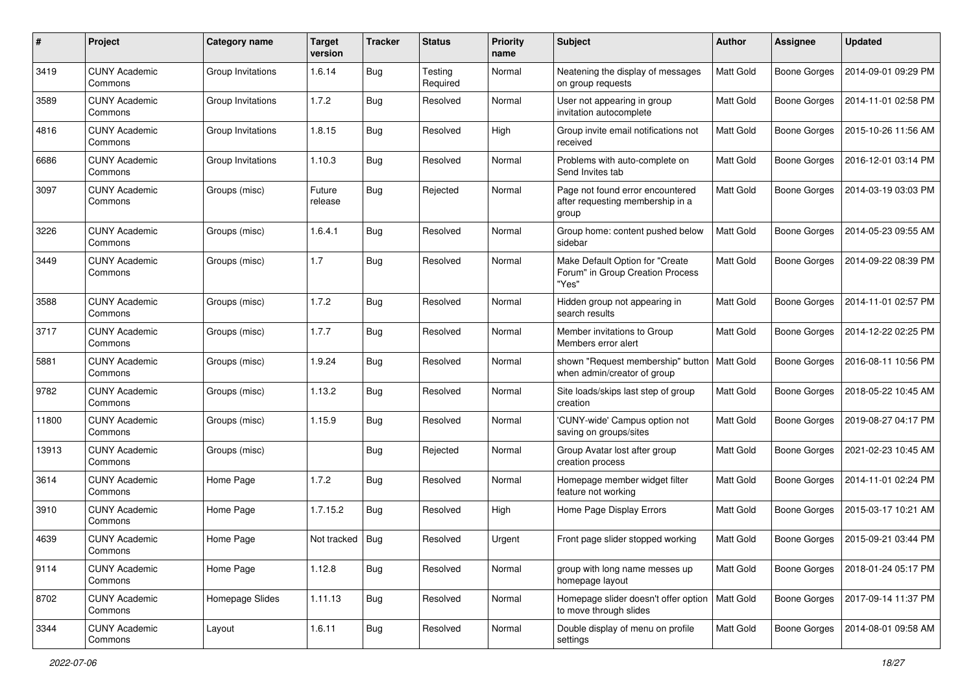| #     | Project                         | Category name     | <b>Target</b><br>version | <b>Tracker</b> | <b>Status</b>       | <b>Priority</b><br>name | <b>Subject</b>                                                                | <b>Author</b> | Assignee            | <b>Updated</b>      |
|-------|---------------------------------|-------------------|--------------------------|----------------|---------------------|-------------------------|-------------------------------------------------------------------------------|---------------|---------------------|---------------------|
| 3419  | <b>CUNY Academic</b><br>Commons | Group Invitations | 1.6.14                   | <b>Bug</b>     | Testing<br>Required | Normal                  | Neatening the display of messages<br>on group requests                        | Matt Gold     | <b>Boone Gorges</b> | 2014-09-01 09:29 PM |
| 3589  | <b>CUNY Academic</b><br>Commons | Group Invitations | 1.7.2                    | Bug            | Resolved            | Normal                  | User not appearing in group<br>invitation autocomplete                        | Matt Gold     | <b>Boone Gorges</b> | 2014-11-01 02:58 PM |
| 4816  | <b>CUNY Academic</b><br>Commons | Group Invitations | 1.8.15                   | <b>Bug</b>     | Resolved            | High                    | Group invite email notifications not<br>received                              | Matt Gold     | <b>Boone Gorges</b> | 2015-10-26 11:56 AM |
| 6686  | <b>CUNY Academic</b><br>Commons | Group Invitations | 1.10.3                   | Bug            | Resolved            | Normal                  | Problems with auto-complete on<br>Send Invites tab                            | Matt Gold     | Boone Gorges        | 2016-12-01 03:14 PM |
| 3097  | <b>CUNY Academic</b><br>Commons | Groups (misc)     | Future<br>release        | <b>Bug</b>     | Rejected            | Normal                  | Page not found error encountered<br>after requesting membership in a<br>group | Matt Gold     | <b>Boone Gorges</b> | 2014-03-19 03:03 PM |
| 3226  | <b>CUNY Academic</b><br>Commons | Groups (misc)     | 1.6.4.1                  | Bug            | Resolved            | Normal                  | Group home: content pushed below<br>sidebar                                   | Matt Gold     | <b>Boone Gorges</b> | 2014-05-23 09:55 AM |
| 3449  | <b>CUNY Academic</b><br>Commons | Groups (misc)     | 1.7                      | <b>Bug</b>     | Resolved            | Normal                  | Make Default Option for "Create<br>Forum" in Group Creation Process<br>"Yes"  | Matt Gold     | Boone Gorges        | 2014-09-22 08:39 PM |
| 3588  | <b>CUNY Academic</b><br>Commons | Groups (misc)     | 1.7.2                    | Bug            | Resolved            | Normal                  | Hidden group not appearing in<br>search results                               | Matt Gold     | <b>Boone Gorges</b> | 2014-11-01 02:57 PM |
| 3717  | <b>CUNY Academic</b><br>Commons | Groups (misc)     | 1.7.7                    | Bug            | Resolved            | Normal                  | Member invitations to Group<br>Members error alert                            | Matt Gold     | <b>Boone Gorges</b> | 2014-12-22 02:25 PM |
| 5881  | <b>CUNY Academic</b><br>Commons | Groups (misc)     | 1.9.24                   | <b>Bug</b>     | Resolved            | Normal                  | shown "Request membership" button<br>when admin/creator of group              | Matt Gold     | Boone Gorges        | 2016-08-11 10:56 PM |
| 9782  | <b>CUNY Academic</b><br>Commons | Groups (misc)     | 1.13.2                   | Bug            | Resolved            | Normal                  | Site loads/skips last step of group<br>creation                               | Matt Gold     | <b>Boone Gorges</b> | 2018-05-22 10:45 AM |
| 11800 | <b>CUNY Academic</b><br>Commons | Groups (misc)     | 1.15.9                   | <b>Bug</b>     | Resolved            | Normal                  | 'CUNY-wide' Campus option not<br>saving on groups/sites                       | Matt Gold     | Boone Gorges        | 2019-08-27 04:17 PM |
| 13913 | <b>CUNY Academic</b><br>Commons | Groups (misc)     |                          | <b>Bug</b>     | Rejected            | Normal                  | Group Avatar lost after group<br>creation process                             | Matt Gold     | <b>Boone Gorges</b> | 2021-02-23 10:45 AM |
| 3614  | <b>CUNY Academic</b><br>Commons | Home Page         | 1.7.2                    | <b>Bug</b>     | Resolved            | Normal                  | Homepage member widget filter<br>feature not working                          | Matt Gold     | <b>Boone Gorges</b> | 2014-11-01 02:24 PM |
| 3910  | <b>CUNY Academic</b><br>Commons | Home Page         | 1.7.15.2                 | Bug            | Resolved            | High                    | Home Page Display Errors                                                      | Matt Gold     | Boone Gorges        | 2015-03-17 10:21 AM |
| 4639  | <b>CUNY Academic</b><br>Commons | Home Page         | Not tracked              | <b>Bug</b>     | Resolved            | Urgent                  | Front page slider stopped working                                             | Matt Gold     | Boone Gorges        | 2015-09-21 03:44 PM |
| 9114  | <b>CUNY Academic</b><br>Commons | Home Page         | 1.12.8                   | <b>Bug</b>     | Resolved            | Normal                  | group with long name messes up<br>homepage layout                             | Matt Gold     | Boone Gorges        | 2018-01-24 05:17 PM |
| 8702  | <b>CUNY Academic</b><br>Commons | Homepage Slides   | 1.11.13                  | Bug            | Resolved            | Normal                  | Homepage slider doesn't offer option   Matt Gold<br>to move through slides    |               | Boone Gorges        | 2017-09-14 11:37 PM |
| 3344  | <b>CUNY Academic</b><br>Commons | Layout            | 1.6.11                   | <b>Bug</b>     | Resolved            | Normal                  | Double display of menu on profile<br>settings                                 | Matt Gold     | <b>Boone Gorges</b> | 2014-08-01 09:58 AM |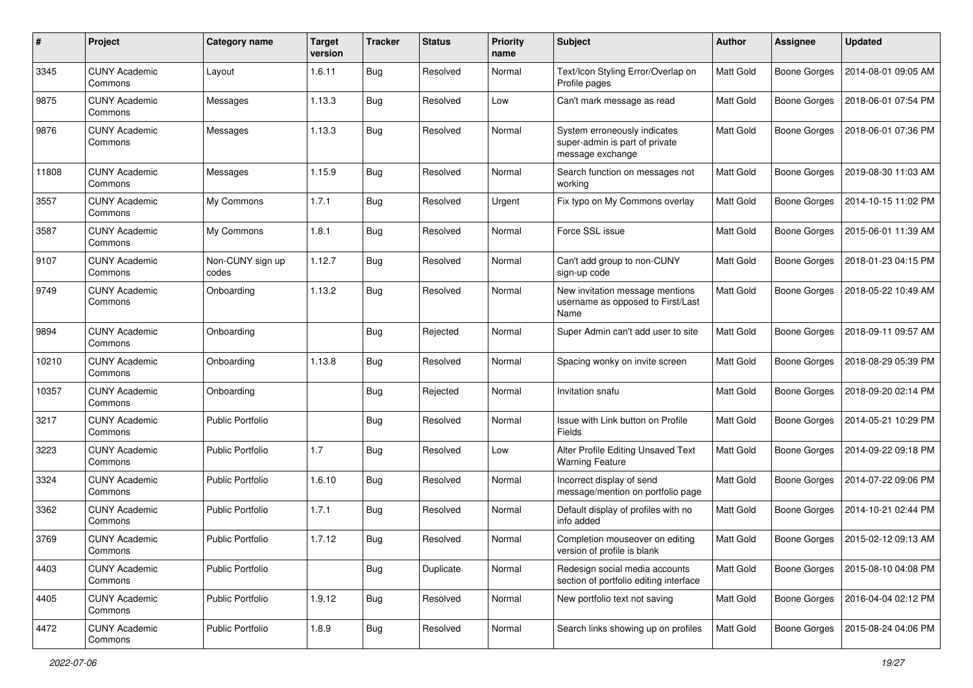| $\#$  | Project                         | Category name             | <b>Target</b><br>version | <b>Tracker</b> | <b>Status</b> | <b>Priority</b><br>name | Subject                                                                            | <b>Author</b> | Assignee            | <b>Updated</b>      |
|-------|---------------------------------|---------------------------|--------------------------|----------------|---------------|-------------------------|------------------------------------------------------------------------------------|---------------|---------------------|---------------------|
| 3345  | <b>CUNY Academic</b><br>Commons | Layout                    | 1.6.11                   | <b>Bug</b>     | Resolved      | Normal                  | Text/Icon Styling Error/Overlap on<br>Profile pages                                | Matt Gold     | <b>Boone Gorges</b> | 2014-08-01 09:05 AM |
| 9875  | <b>CUNY Academic</b><br>Commons | Messages                  | 1.13.3                   | Bug            | Resolved      | Low                     | Can't mark message as read                                                         | Matt Gold     | <b>Boone Gorges</b> | 2018-06-01 07:54 PM |
| 9876  | <b>CUNY Academic</b><br>Commons | Messages                  | 1.13.3                   | Bug            | Resolved      | Normal                  | System erroneously indicates<br>super-admin is part of private<br>message exchange | Matt Gold     | <b>Boone Gorges</b> | 2018-06-01 07:36 PM |
| 11808 | <b>CUNY Academic</b><br>Commons | Messages                  | 1.15.9                   | <b>Bug</b>     | Resolved      | Normal                  | Search function on messages not<br>working                                         | Matt Gold     | <b>Boone Gorges</b> | 2019-08-30 11:03 AM |
| 3557  | <b>CUNY Academic</b><br>Commons | My Commons                | 1.7.1                    | <b>Bug</b>     | Resolved      | Urgent                  | Fix typo on My Commons overlay                                                     | Matt Gold     | <b>Boone Gorges</b> | 2014-10-15 11:02 PM |
| 3587  | <b>CUNY Academic</b><br>Commons | My Commons                | 1.8.1                    | Bug            | Resolved      | Normal                  | Force SSL issue                                                                    | Matt Gold     | Boone Gorges        | 2015-06-01 11:39 AM |
| 9107  | <b>CUNY Academic</b><br>Commons | Non-CUNY sign up<br>codes | 1.12.7                   | Bug            | Resolved      | Normal                  | Can't add group to non-CUNY<br>sign-up code                                        | Matt Gold     | Boone Gorges        | 2018-01-23 04:15 PM |
| 9749  | <b>CUNY Academic</b><br>Commons | Onboarding                | 1.13.2                   | Bug            | Resolved      | Normal                  | New invitation message mentions<br>username as opposed to First/Last<br>Name       | Matt Gold     | <b>Boone Gorges</b> | 2018-05-22 10:49 AM |
| 9894  | <b>CUNY Academic</b><br>Commons | Onboarding                |                          | Bug            | Rejected      | Normal                  | Super Admin can't add user to site                                                 | Matt Gold     | <b>Boone Gorges</b> | 2018-09-11 09:57 AM |
| 10210 | <b>CUNY Academic</b><br>Commons | Onboarding                | 1.13.8                   | <b>Bug</b>     | Resolved      | Normal                  | Spacing wonky on invite screen                                                     | Matt Gold     | Boone Gorges        | 2018-08-29 05:39 PM |
| 10357 | <b>CUNY Academic</b><br>Commons | Onboarding                |                          | Bug            | Rejected      | Normal                  | Invitation snafu                                                                   | Matt Gold     | <b>Boone Gorges</b> | 2018-09-20 02:14 PM |
| 3217  | <b>CUNY Academic</b><br>Commons | Public Portfolio          |                          | Bug            | Resolved      | Normal                  | Issue with Link button on Profile<br>Fields                                        | Matt Gold     | Boone Gorges        | 2014-05-21 10:29 PM |
| 3223  | <b>CUNY Academic</b><br>Commons | Public Portfolio          | 1.7                      | <b>Bug</b>     | Resolved      | Low                     | Alter Profile Editing Unsaved Text<br><b>Warning Feature</b>                       | Matt Gold     | <b>Boone Gorges</b> | 2014-09-22 09:18 PM |
| 3324  | <b>CUNY Academic</b><br>Commons | <b>Public Portfolio</b>   | 1.6.10                   | <b>Bug</b>     | Resolved      | Normal                  | Incorrect display of send<br>message/mention on portfolio page                     | Matt Gold     | Boone Gorges        | 2014-07-22 09:06 PM |
| 3362  | <b>CUNY Academic</b><br>Commons | <b>Public Portfolio</b>   | 1.7.1                    | Bug            | Resolved      | Normal                  | Default display of profiles with no<br>info added                                  | Matt Gold     | Boone Gorges        | 2014-10-21 02:44 PM |
| 3769  | <b>CUNY Academic</b><br>Commons | <b>Public Portfolio</b>   | 1.7.12                   | Bug            | Resolved      | Normal                  | Completion mouseover on editing<br>version of profile is blank                     | Matt Gold     | Boone Gorges        | 2015-02-12 09:13 AM |
| 4403  | <b>CUNY Academic</b><br>Commons | Public Portfolio          |                          | Bug            | Duplicate     | Normal                  | Redesign social media accounts<br>section of portfolio editing interface           | Matt Gold     | Boone Gorges        | 2015-08-10 04:08 PM |
| 4405  | <b>CUNY Academic</b><br>Commons | Public Portfolio          | 1.9.12                   | <b>Bug</b>     | Resolved      | Normal                  | New portfolio text not saving                                                      | Matt Gold     | <b>Boone Gorges</b> | 2016-04-04 02:12 PM |
| 4472  | <b>CUNY Academic</b><br>Commons | Public Portfolio          | 1.8.9                    | <b>Bug</b>     | Resolved      | Normal                  | Search links showing up on profiles                                                | Matt Gold     | <b>Boone Gorges</b> | 2015-08-24 04:06 PM |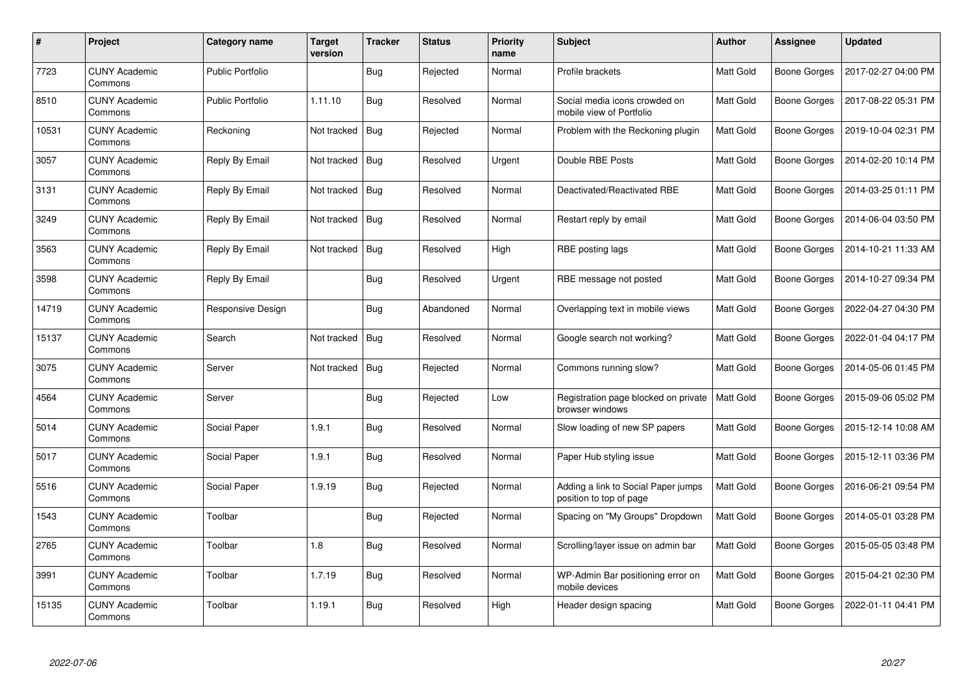| $\#$  | <b>Project</b>                  | Category name           | Target<br>version | <b>Tracker</b> | <b>Status</b> | <b>Priority</b><br>name | <b>Subject</b>                                                 | <b>Author</b> | Assignee            | <b>Updated</b>      |
|-------|---------------------------------|-------------------------|-------------------|----------------|---------------|-------------------------|----------------------------------------------------------------|---------------|---------------------|---------------------|
| 7723  | <b>CUNY Academic</b><br>Commons | <b>Public Portfolio</b> |                   | <b>Bug</b>     | Rejected      | Normal                  | Profile brackets                                               | Matt Gold     | Boone Gorges        | 2017-02-27 04:00 PM |
| 8510  | <b>CUNY Academic</b><br>Commons | <b>Public Portfolio</b> | 1.11.10           | <b>Bug</b>     | Resolved      | Normal                  | Social media icons crowded on<br>mobile view of Portfolio      | Matt Gold     | Boone Gorges        | 2017-08-22 05:31 PM |
| 10531 | <b>CUNY Academic</b><br>Commons | Reckoning               | Not tracked       | Bug            | Rejected      | Normal                  | Problem with the Reckoning plugin                              | Matt Gold     | <b>Boone Gorges</b> | 2019-10-04 02:31 PM |
| 3057  | <b>CUNY Academic</b><br>Commons | Reply By Email          | Not tracked       | Bug            | Resolved      | Urgent                  | Double RBE Posts                                               | Matt Gold     | Boone Gorges        | 2014-02-20 10:14 PM |
| 3131  | <b>CUNY Academic</b><br>Commons | Reply By Email          | Not tracked       | <b>Bug</b>     | Resolved      | Normal                  | Deactivated/Reactivated RBE                                    | Matt Gold     | Boone Gorges        | 2014-03-25 01:11 PM |
| 3249  | <b>CUNY Academic</b><br>Commons | Reply By Email          | Not tracked       | <b>Bug</b>     | Resolved      | Normal                  | Restart reply by email                                         | Matt Gold     | Boone Gorges        | 2014-06-04 03:50 PM |
| 3563  | <b>CUNY Academic</b><br>Commons | Reply By Email          | Not tracked       | <b>Bug</b>     | Resolved      | High                    | RBE posting lags                                               | Matt Gold     | Boone Gorges        | 2014-10-21 11:33 AM |
| 3598  | <b>CUNY Academic</b><br>Commons | Reply By Email          |                   | Bug            | Resolved      | Urgent                  | RBE message not posted                                         | Matt Gold     | Boone Gorges        | 2014-10-27 09:34 PM |
| 14719 | <b>CUNY Academic</b><br>Commons | Responsive Design       |                   | <b>Bug</b>     | Abandoned     | Normal                  | Overlapping text in mobile views                               | Matt Gold     | Boone Gorges        | 2022-04-27 04:30 PM |
| 15137 | <b>CUNY Academic</b><br>Commons | Search                  | Not tracked       | Bug            | Resolved      | Normal                  | Google search not working?                                     | Matt Gold     | Boone Gorges        | 2022-01-04 04:17 PM |
| 3075  | <b>CUNY Academic</b><br>Commons | Server                  | Not tracked       | Bug            | Rejected      | Normal                  | Commons running slow?                                          | Matt Gold     | <b>Boone Gorges</b> | 2014-05-06 01:45 PM |
| 4564  | <b>CUNY Academic</b><br>Commons | Server                  |                   | <b>Bug</b>     | Rejected      | Low                     | Registration page blocked on private<br>browser windows        | Matt Gold     | Boone Gorges        | 2015-09-06 05:02 PM |
| 5014  | <b>CUNY Academic</b><br>Commons | Social Paper            | 1.9.1             | <b>Bug</b>     | Resolved      | Normal                  | Slow loading of new SP papers                                  | Matt Gold     | Boone Gorges        | 2015-12-14 10:08 AM |
| 5017  | <b>CUNY Academic</b><br>Commons | Social Paper            | 1.9.1             | <b>Bug</b>     | Resolved      | Normal                  | Paper Hub styling issue                                        | Matt Gold     | Boone Gorges        | 2015-12-11 03:36 PM |
| 5516  | <b>CUNY Academic</b><br>Commons | Social Paper            | 1.9.19            | Bug            | Rejected      | Normal                  | Adding a link to Social Paper jumps<br>position to top of page | Matt Gold     | Boone Gorges        | 2016-06-21 09:54 PM |
| 1543  | <b>CUNY Academic</b><br>Commons | Toolbar                 |                   | Bug            | Rejected      | Normal                  | Spacing on "My Groups" Dropdown                                | Matt Gold     | Boone Gorges        | 2014-05-01 03:28 PM |
| 2765  | <b>CUNY Academic</b><br>Commons | Toolbar                 | 1.8               | <b>Bug</b>     | Resolved      | Normal                  | Scrolling/layer issue on admin bar                             | Matt Gold     | Boone Gorges        | 2015-05-05 03:48 PM |
| 3991  | <b>CUNY Academic</b><br>Commons | Toolbar                 | 1.7.19            | <b>Bug</b>     | Resolved      | Normal                  | WP-Admin Bar positioning error on<br>mobile devices            | Matt Gold     | Boone Gorges        | 2015-04-21 02:30 PM |
| 15135 | <b>CUNY Academic</b><br>Commons | Toolbar                 | 1.19.1            | Bug            | Resolved      | High                    | Header design spacing                                          | Matt Gold     | Boone Gorges        | 2022-01-11 04:41 PM |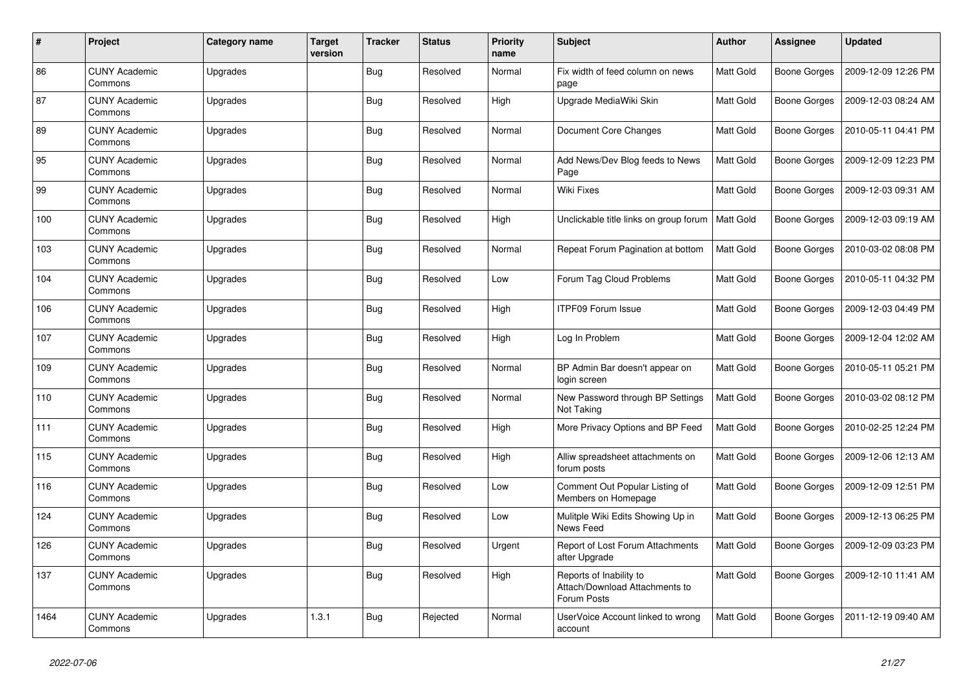| $\pmb{\#}$ | Project                         | Category name | Target<br>version | <b>Tracker</b> | <b>Status</b> | <b>Priority</b><br>name | <b>Subject</b>                                                           | Author           | Assignee            | <b>Updated</b>      |
|------------|---------------------------------|---------------|-------------------|----------------|---------------|-------------------------|--------------------------------------------------------------------------|------------------|---------------------|---------------------|
| 86         | <b>CUNY Academic</b><br>Commons | Upgrades      |                   | <b>Bug</b>     | Resolved      | Normal                  | Fix width of feed column on news<br>page                                 | <b>Matt Gold</b> | <b>Boone Gorges</b> | 2009-12-09 12:26 PM |
| 87         | <b>CUNY Academic</b><br>Commons | Upgrades      |                   | Bug            | Resolved      | High                    | Upgrade MediaWiki Skin                                                   | Matt Gold        | <b>Boone Gorges</b> | 2009-12-03 08:24 AM |
| 89         | <b>CUNY Academic</b><br>Commons | Upgrades      |                   | <b>Bug</b>     | Resolved      | Normal                  | Document Core Changes                                                    | Matt Gold        | Boone Gorges        | 2010-05-11 04:41 PM |
| 95         | <b>CUNY Academic</b><br>Commons | Upgrades      |                   | Bug            | Resolved      | Normal                  | Add News/Dev Blog feeds to News<br>Page                                  | Matt Gold        | Boone Gorges        | 2009-12-09 12:23 PM |
| 99         | <b>CUNY Academic</b><br>Commons | Upgrades      |                   | Bug            | Resolved      | Normal                  | <b>Wiki Fixes</b>                                                        | Matt Gold        | <b>Boone Gorges</b> | 2009-12-03 09:31 AM |
| 100        | <b>CUNY Academic</b><br>Commons | Upgrades      |                   | Bug            | Resolved      | High                    | Unclickable title links on group forum                                   | Matt Gold        | <b>Boone Gorges</b> | 2009-12-03 09:19 AM |
| 103        | <b>CUNY Academic</b><br>Commons | Upgrades      |                   | Bug            | Resolved      | Normal                  | Repeat Forum Pagination at bottom                                        | Matt Gold        | <b>Boone Gorges</b> | 2010-03-02 08:08 PM |
| 104        | <b>CUNY Academic</b><br>Commons | Upgrades      |                   | <b>Bug</b>     | Resolved      | Low                     | Forum Tag Cloud Problems                                                 | Matt Gold        | Boone Gorges        | 2010-05-11 04:32 PM |
| 106        | <b>CUNY Academic</b><br>Commons | Upgrades      |                   | Bug            | Resolved      | High                    | <b>ITPF09 Forum Issue</b>                                                | Matt Gold        | Boone Gorges        | 2009-12-03 04:49 PM |
| 107        | <b>CUNY Academic</b><br>Commons | Upgrades      |                   | Bug            | Resolved      | High                    | Log In Problem                                                           | Matt Gold        | <b>Boone Gorges</b> | 2009-12-04 12:02 AM |
| 109        | <b>CUNY Academic</b><br>Commons | Upgrades      |                   | <b>Bug</b>     | Resolved      | Normal                  | BP Admin Bar doesn't appear on<br>login screen                           | Matt Gold        | Boone Gorges        | 2010-05-11 05:21 PM |
| 110        | <b>CUNY Academic</b><br>Commons | Upgrades      |                   | Bug            | Resolved      | Normal                  | New Password through BP Settings<br>Not Taking                           | Matt Gold        | <b>Boone Gorges</b> | 2010-03-02 08:12 PM |
| 111        | <b>CUNY Academic</b><br>Commons | Upgrades      |                   | Bug            | Resolved      | High                    | More Privacy Options and BP Feed                                         | Matt Gold        | <b>Boone Gorges</b> | 2010-02-25 12:24 PM |
| 115        | <b>CUNY Academic</b><br>Commons | Upgrades      |                   | Bug            | Resolved      | High                    | Alliw spreadsheet attachments on<br>forum posts                          | Matt Gold        | Boone Gorges        | 2009-12-06 12:13 AM |
| 116        | <b>CUNY Academic</b><br>Commons | Upgrades      |                   | <b>Bug</b>     | Resolved      | Low                     | Comment Out Popular Listing of<br>Members on Homepage                    | Matt Gold        | <b>Boone Gorges</b> | 2009-12-09 12:51 PM |
| 124        | <b>CUNY Academic</b><br>Commons | Upgrades      |                   | <b>Bug</b>     | Resolved      | Low                     | Mulitple Wiki Edits Showing Up in<br>News Feed                           | Matt Gold        | <b>Boone Gorges</b> | 2009-12-13 06:25 PM |
| 126        | <b>CUNY Academic</b><br>Commons | Upgrades      |                   | Bug            | Resolved      | Urgent                  | Report of Lost Forum Attachments<br>after Upgrade                        | Matt Gold        | <b>Boone Gorges</b> | 2009-12-09 03:23 PM |
| 137        | <b>CUNY Academic</b><br>Commons | Upgrades      |                   | Bug            | Resolved      | High                    | Reports of Inability to<br>Attach/Download Attachments to<br>Forum Posts | Matt Gold        | <b>Boone Gorges</b> | 2009-12-10 11:41 AM |
| 1464       | <b>CUNY Academic</b><br>Commons | Upgrades      | 1.3.1             | Bug            | Rejected      | Normal                  | UserVoice Account linked to wrong<br>account                             | Matt Gold        | Boone Gorges        | 2011-12-19 09:40 AM |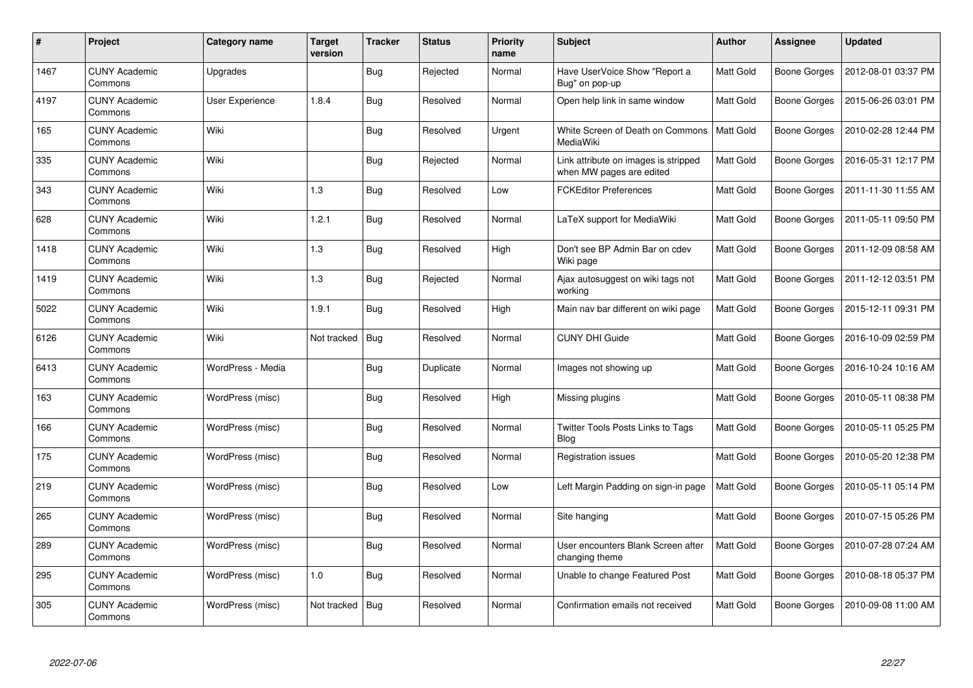| #    | Project                         | Category name          | Target<br>version | <b>Tracker</b> | <b>Status</b> | Priority<br>name | <b>Subject</b>                                                   | <b>Author</b> | Assignee            | <b>Updated</b>      |
|------|---------------------------------|------------------------|-------------------|----------------|---------------|------------------|------------------------------------------------------------------|---------------|---------------------|---------------------|
| 1467 | <b>CUNY Academic</b><br>Commons | Upgrades               |                   | <b>Bug</b>     | Rejected      | Normal           | Have UserVoice Show "Report a<br>Bug" on pop-up                  | Matt Gold     | <b>Boone Gorges</b> | 2012-08-01 03:37 PM |
| 4197 | <b>CUNY Academic</b><br>Commons | <b>User Experience</b> | 1.8.4             | Bug            | Resolved      | Normal           | Open help link in same window                                    | Matt Gold     | Boone Gorges        | 2015-06-26 03:01 PM |
| 165  | <b>CUNY Academic</b><br>Commons | Wiki                   |                   | <b>Bug</b>     | Resolved      | Urgent           | White Screen of Death on Commons<br>MediaWiki                    | Matt Gold     | Boone Gorges        | 2010-02-28 12:44 PM |
| 335  | <b>CUNY Academic</b><br>Commons | Wiki                   |                   | Bug            | Rejected      | Normal           | Link attribute on images is stripped<br>when MW pages are edited | Matt Gold     | Boone Gorges        | 2016-05-31 12:17 PM |
| 343  | <b>CUNY Academic</b><br>Commons | Wiki                   | 1.3               | Bug            | Resolved      | Low              | <b>FCKEditor Preferences</b>                                     | Matt Gold     | Boone Gorges        | 2011-11-30 11:55 AM |
| 628  | <b>CUNY Academic</b><br>Commons | Wiki                   | 1.2.1             | Bug            | Resolved      | Normal           | LaTeX support for MediaWiki                                      | Matt Gold     | Boone Gorges        | 2011-05-11 09:50 PM |
| 1418 | <b>CUNY Academic</b><br>Commons | Wiki                   | 1.3               | <b>Bug</b>     | Resolved      | High             | Don't see BP Admin Bar on cdev<br>Wiki page                      | Matt Gold     | Boone Gorges        | 2011-12-09 08:58 AM |
| 1419 | <b>CUNY Academic</b><br>Commons | Wiki                   | 1.3               | <b>Bug</b>     | Rejected      | Normal           | Ajax autosuggest on wiki tags not<br>working                     | Matt Gold     | Boone Gorges        | 2011-12-12 03:51 PM |
| 5022 | <b>CUNY Academic</b><br>Commons | Wiki                   | 1.9.1             | Bug            | Resolved      | High             | Main nav bar different on wiki page                              | Matt Gold     | Boone Gorges        | 2015-12-11 09:31 PM |
| 6126 | <b>CUNY Academic</b><br>Commons | Wiki                   | Not tracked       | Bug            | Resolved      | Normal           | <b>CUNY DHI Guide</b>                                            | Matt Gold     | Boone Gorges        | 2016-10-09 02:59 PM |
| 6413 | <b>CUNY Academic</b><br>Commons | WordPress - Media      |                   | Bug            | Duplicate     | Normal           | Images not showing up                                            | Matt Gold     | Boone Gorges        | 2016-10-24 10:16 AM |
| 163  | <b>CUNY Academic</b><br>Commons | WordPress (misc)       |                   | Bug            | Resolved      | High             | Missing plugins                                                  | Matt Gold     | Boone Gorges        | 2010-05-11 08:38 PM |
| 166  | <b>CUNY Academic</b><br>Commons | WordPress (misc)       |                   | Bug            | Resolved      | Normal           | Twitter Tools Posts Links to Tags<br><b>Blog</b>                 | Matt Gold     | Boone Gorges        | 2010-05-11 05:25 PM |
| 175  | <b>CUNY Academic</b><br>Commons | WordPress (misc)       |                   | <b>Bug</b>     | Resolved      | Normal           | Registration issues                                              | Matt Gold     | Boone Gorges        | 2010-05-20 12:38 PM |
| 219  | <b>CUNY Academic</b><br>Commons | WordPress (misc)       |                   | Bug            | Resolved      | Low              | Left Margin Padding on sign-in page                              | Matt Gold     | Boone Gorges        | 2010-05-11 05:14 PM |
| 265  | <b>CUNY Academic</b><br>Commons | WordPress (misc)       |                   | Bug            | Resolved      | Normal           | Site hanging                                                     | Matt Gold     | Boone Gorges        | 2010-07-15 05:26 PM |
| 289  | <b>CUNY Academic</b><br>Commons | WordPress (misc)       |                   | Bug            | Resolved      | Normal           | User encounters Blank Screen after<br>changing theme             | Matt Gold     | Boone Gorges        | 2010-07-28 07:24 AM |
| 295  | <b>CUNY Academic</b><br>Commons | WordPress (misc)       | 1.0               | <b>Bug</b>     | Resolved      | Normal           | Unable to change Featured Post                                   | Matt Gold     | Boone Gorges        | 2010-08-18 05:37 PM |
| 305  | CUNY Academic<br>Commons        | WordPress (misc)       | Not tracked       | <b>Bug</b>     | Resolved      | Normal           | Confirmation emails not received                                 | Matt Gold     | Boone Gorges        | 2010-09-08 11:00 AM |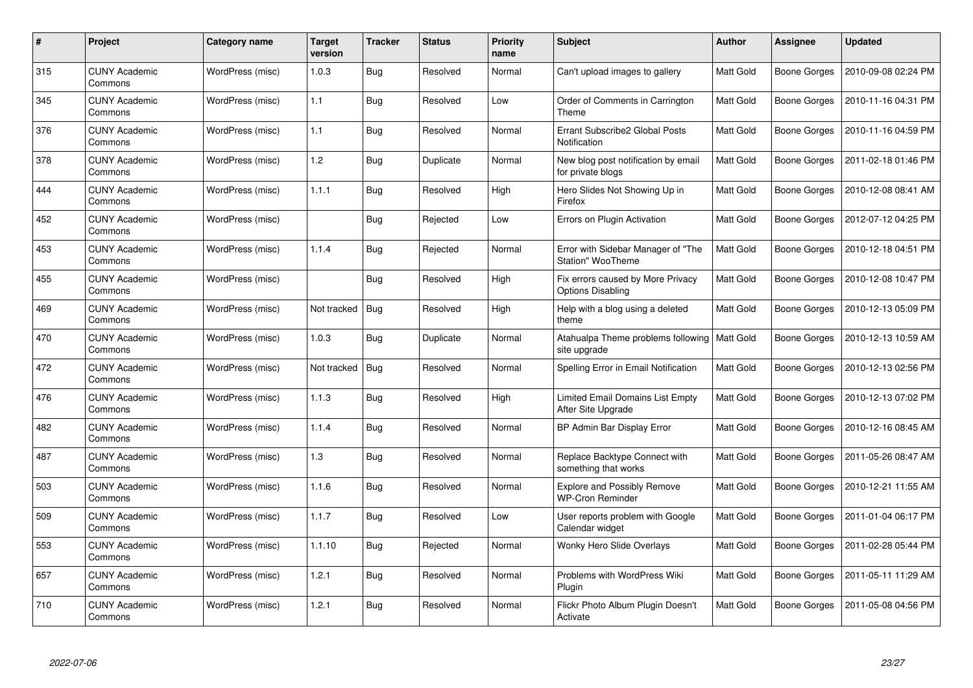| #   | Project                         | Category name    | Target<br>version | <b>Tracker</b> | <b>Status</b> | <b>Priority</b><br>name | <b>Subject</b>                                                | <b>Author</b> | Assignee            | <b>Updated</b>      |
|-----|---------------------------------|------------------|-------------------|----------------|---------------|-------------------------|---------------------------------------------------------------|---------------|---------------------|---------------------|
| 315 | <b>CUNY Academic</b><br>Commons | WordPress (misc) | 1.0.3             | <b>Bug</b>     | Resolved      | Normal                  | Can't upload images to gallery                                | Matt Gold     | Boone Gorges        | 2010-09-08 02:24 PM |
| 345 | CUNY Academic<br>Commons        | WordPress (misc) | 1.1               | Bug            | Resolved      | Low                     | Order of Comments in Carrington<br>Theme                      | Matt Gold     | Boone Gorges        | 2010-11-16 04:31 PM |
| 376 | <b>CUNY Academic</b><br>Commons | WordPress (misc) | 1.1               | Bug            | Resolved      | Normal                  | Errant Subscribe2 Global Posts<br>Notification                | Matt Gold     | <b>Boone Gorges</b> | 2010-11-16 04:59 PM |
| 378 | <b>CUNY Academic</b><br>Commons | WordPress (misc) | 1.2               | <b>Bug</b>     | Duplicate     | Normal                  | New blog post notification by email<br>for private blogs      | Matt Gold     | Boone Gorges        | 2011-02-18 01:46 PM |
| 444 | <b>CUNY Academic</b><br>Commons | WordPress (misc) | 1.1.1             | <b>Bug</b>     | Resolved      | High                    | Hero Slides Not Showing Up in<br>Firefox                      | Matt Gold     | Boone Gorges        | 2010-12-08 08:41 AM |
| 452 | <b>CUNY Academic</b><br>Commons | WordPress (misc) |                   | Bug            | Rejected      | Low                     | Errors on Plugin Activation                                   | Matt Gold     | Boone Gorges        | 2012-07-12 04:25 PM |
| 453 | <b>CUNY Academic</b><br>Commons | WordPress (misc) | 1.1.4             | <b>Bug</b>     | Rejected      | Normal                  | Error with Sidebar Manager of "The<br>Station" WooTheme       | Matt Gold     | Boone Gorges        | 2010-12-18 04:51 PM |
| 455 | <b>CUNY Academic</b><br>Commons | WordPress (misc) |                   | Bug            | Resolved      | High                    | Fix errors caused by More Privacy<br><b>Options Disabling</b> | Matt Gold     | <b>Boone Gorges</b> | 2010-12-08 10:47 PM |
| 469 | <b>CUNY Academic</b><br>Commons | WordPress (misc) | Not tracked       | <b>Bug</b>     | Resolved      | High                    | Help with a blog using a deleted<br>theme                     | Matt Gold     | Boone Gorges        | 2010-12-13 05:09 PM |
| 470 | <b>CUNY Academic</b><br>Commons | WordPress (misc) | 1.0.3             | <b>Bug</b>     | Duplicate     | Normal                  | Atahualpa Theme problems following<br>site upgrade            | Matt Gold     | Boone Gorges        | 2010-12-13 10:59 AM |
| 472 | <b>CUNY Academic</b><br>Commons | WordPress (misc) | Not tracked       | Bug            | Resolved      | Normal                  | Spelling Error in Email Notification                          | Matt Gold     | Boone Gorges        | 2010-12-13 02:56 PM |
| 476 | <b>CUNY Academic</b><br>Commons | WordPress (misc) | 1.1.3             | <b>Bug</b>     | Resolved      | High                    | <b>Limited Email Domains List Empty</b><br>After Site Upgrade | Matt Gold     | Boone Gorges        | 2010-12-13 07:02 PM |
| 482 | <b>CUNY Academic</b><br>Commons | WordPress (misc) | 1.1.4             | Bug            | Resolved      | Normal                  | BP Admin Bar Display Error                                    | Matt Gold     | Boone Gorges        | 2010-12-16 08:45 AM |
| 487 | <b>CUNY Academic</b><br>Commons | WordPress (misc) | 1.3               | <b>Bug</b>     | Resolved      | Normal                  | Replace Backtype Connect with<br>something that works         | Matt Gold     | Boone Gorges        | 2011-05-26 08:47 AM |
| 503 | <b>CUNY Academic</b><br>Commons | WordPress (misc) | 1.1.6             | Bug            | Resolved      | Normal                  | <b>Explore and Possibly Remove</b><br><b>WP-Cron Reminder</b> | Matt Gold     | Boone Gorges        | 2010-12-21 11:55 AM |
| 509 | <b>CUNY Academic</b><br>Commons | WordPress (misc) | 1.1.7             | Bug            | Resolved      | Low                     | User reports problem with Google<br>Calendar widget           | Matt Gold     | Boone Gorges        | 2011-01-04 06:17 PM |
| 553 | <b>CUNY Academic</b><br>Commons | WordPress (misc) | 1.1.10            | Bug            | Rejected      | Normal                  | Wonky Hero Slide Overlays                                     | Matt Gold     | Boone Gorges        | 2011-02-28 05:44 PM |
| 657 | <b>CUNY Academic</b><br>Commons | WordPress (misc) | 1.2.1             | <b>Bug</b>     | Resolved      | Normal                  | Problems with WordPress Wiki<br>Plugin                        | Matt Gold     | Boone Gorges        | 2011-05-11 11:29 AM |
| 710 | <b>CUNY Academic</b><br>Commons | WordPress (misc) | 1.2.1             | <b>Bug</b>     | Resolved      | Normal                  | Flickr Photo Album Plugin Doesn't<br>Activate                 | Matt Gold     | Boone Gorges        | 2011-05-08 04:56 PM |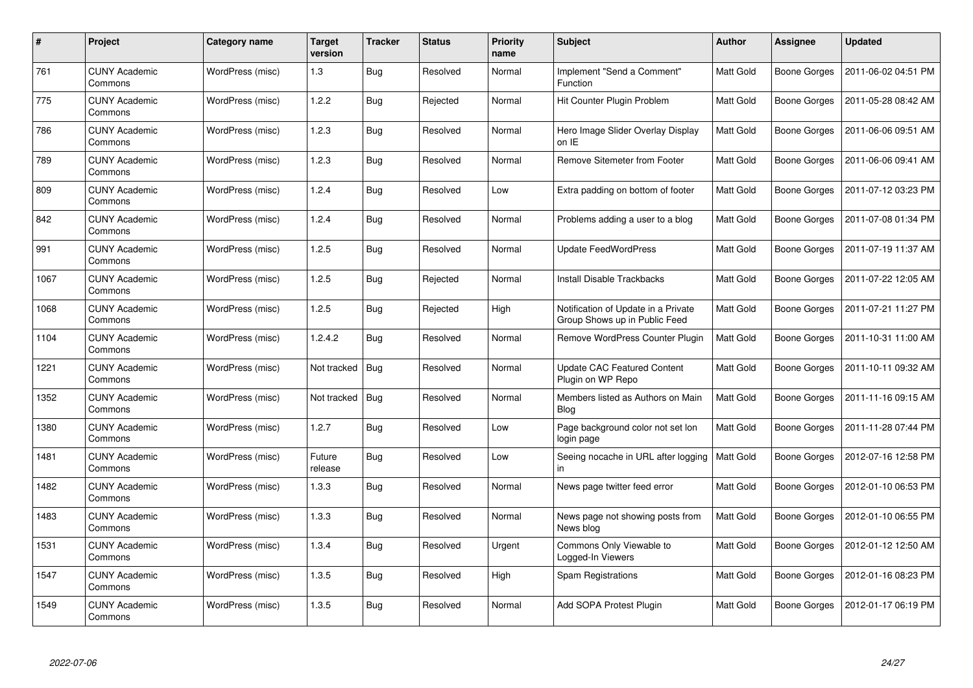| #    | Project                         | Category name    | Target<br>version | <b>Tracker</b> | <b>Status</b> | <b>Priority</b><br>name | Subject                                                              | Author           | Assignee            | <b>Updated</b>      |
|------|---------------------------------|------------------|-------------------|----------------|---------------|-------------------------|----------------------------------------------------------------------|------------------|---------------------|---------------------|
| 761  | <b>CUNY Academic</b><br>Commons | WordPress (misc) | 1.3               | <b>Bug</b>     | Resolved      | Normal                  | Implement "Send a Comment"<br>Function                               | <b>Matt Gold</b> | Boone Gorges        | 2011-06-02 04:51 PM |
| 775  | <b>CUNY Academic</b><br>Commons | WordPress (misc) | 1.2.2             | Bug            | Rejected      | Normal                  | Hit Counter Plugin Problem                                           | Matt Gold        | <b>Boone Gorges</b> | 2011-05-28 08:42 AM |
| 786  | <b>CUNY Academic</b><br>Commons | WordPress (misc) | 1.2.3             | <b>Bug</b>     | Resolved      | Normal                  | Hero Image Slider Overlay Display<br>on IE                           | Matt Gold        | <b>Boone Gorges</b> | 2011-06-06 09:51 AM |
| 789  | <b>CUNY Academic</b><br>Commons | WordPress (misc) | 1.2.3             | Bug            | Resolved      | Normal                  | Remove Sitemeter from Footer                                         | Matt Gold        | <b>Boone Gorges</b> | 2011-06-06 09:41 AM |
| 809  | <b>CUNY Academic</b><br>Commons | WordPress (misc) | 1.2.4             | Bug            | Resolved      | Low                     | Extra padding on bottom of footer                                    | Matt Gold        | <b>Boone Gorges</b> | 2011-07-12 03:23 PM |
| 842  | <b>CUNY Academic</b><br>Commons | WordPress (misc) | 1.2.4             | Bug            | Resolved      | Normal                  | Problems adding a user to a blog                                     | Matt Gold        | <b>Boone Gorges</b> | 2011-07-08 01:34 PM |
| 991  | <b>CUNY Academic</b><br>Commons | WordPress (misc) | 1.2.5             | <b>Bug</b>     | Resolved      | Normal                  | <b>Update FeedWordPress</b>                                          | Matt Gold        | Boone Gorges        | 2011-07-19 11:37 AM |
| 1067 | <b>CUNY Academic</b><br>Commons | WordPress (misc) | 1.2.5             | <b>Bug</b>     | Rejected      | Normal                  | Install Disable Trackbacks                                           | Matt Gold        | Boone Gorges        | 2011-07-22 12:05 AM |
| 1068 | <b>CUNY Academic</b><br>Commons | WordPress (misc) | 1.2.5             | Bug            | Rejected      | High                    | Notification of Update in a Private<br>Group Shows up in Public Feed | Matt Gold        | Boone Gorges        | 2011-07-21 11:27 PM |
| 1104 | <b>CUNY Academic</b><br>Commons | WordPress (misc) | 1.2.4.2           | <b>Bug</b>     | Resolved      | Normal                  | Remove WordPress Counter Plugin                                      | Matt Gold        | Boone Gorges        | 2011-10-31 11:00 AM |
| 1221 | <b>CUNY Academic</b><br>Commons | WordPress (misc) | Not tracked       | <b>Bug</b>     | Resolved      | Normal                  | <b>Update CAC Featured Content</b><br>Plugin on WP Repo              | Matt Gold        | <b>Boone Gorges</b> | 2011-10-11 09:32 AM |
| 1352 | <b>CUNY Academic</b><br>Commons | WordPress (misc) | Not tracked       | Bug            | Resolved      | Normal                  | Members listed as Authors on Main<br><b>Blog</b>                     | Matt Gold        | <b>Boone Gorges</b> | 2011-11-16 09:15 AM |
| 1380 | <b>CUNY Academic</b><br>Commons | WordPress (misc) | 1.2.7             | Bug            | Resolved      | Low                     | Page background color not set lon<br>login page                      | Matt Gold        | <b>Boone Gorges</b> | 2011-11-28 07:44 PM |
| 1481 | <b>CUNY Academic</b><br>Commons | WordPress (misc) | Future<br>release | <b>Bug</b>     | Resolved      | Low                     | Seeing nocache in URL after logging<br>in.                           | Matt Gold        | Boone Gorges        | 2012-07-16 12:58 PM |
| 1482 | <b>CUNY Academic</b><br>Commons | WordPress (misc) | 1.3.3             | Bug            | Resolved      | Normal                  | News page twitter feed error                                         | Matt Gold        | <b>Boone Gorges</b> | 2012-01-10 06:53 PM |
| 1483 | <b>CUNY Academic</b><br>Commons | WordPress (misc) | 1.3.3             | <b>Bug</b>     | Resolved      | Normal                  | News page not showing posts from<br>News blog                        | Matt Gold        | <b>Boone Gorges</b> | 2012-01-10 06:55 PM |
| 1531 | <b>CUNY Academic</b><br>Commons | WordPress (misc) | 1.3.4             | <b>Bug</b>     | Resolved      | Urgent                  | Commons Only Viewable to<br>Logged-In Viewers                        | Matt Gold        | <b>Boone Gorges</b> | 2012-01-12 12:50 AM |
| 1547 | <b>CUNY Academic</b><br>Commons | WordPress (misc) | 1.3.5             | <b>Bug</b>     | Resolved      | High                    | Spam Registrations                                                   | Matt Gold        | Boone Gorges        | 2012-01-16 08:23 PM |
| 1549 | <b>CUNY Academic</b><br>Commons | WordPress (misc) | 1.3.5             | Bug            | Resolved      | Normal                  | Add SOPA Protest Plugin                                              | Matt Gold        | Boone Gorges        | 2012-01-17 06:19 PM |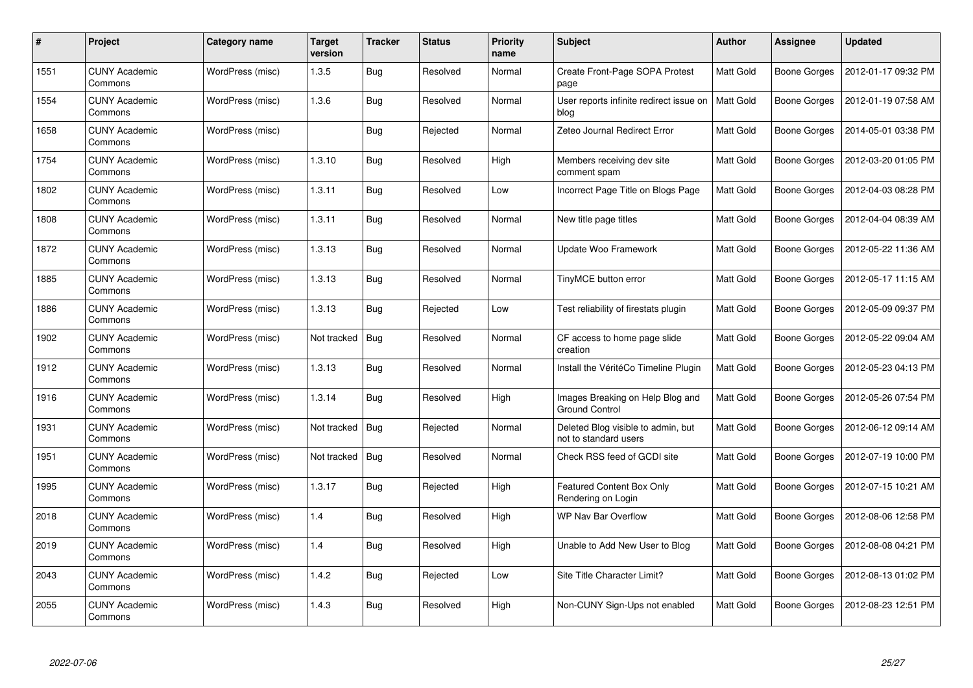| #    | Project                         | Category name    | <b>Target</b><br>version | <b>Tracker</b> | <b>Status</b> | <b>Priority</b><br>name | Subject                                                     | Author           | Assignee            | <b>Updated</b>      |
|------|---------------------------------|------------------|--------------------------|----------------|---------------|-------------------------|-------------------------------------------------------------|------------------|---------------------|---------------------|
| 1551 | <b>CUNY Academic</b><br>Commons | WordPress (misc) | 1.3.5                    | Bug            | Resolved      | Normal                  | Create Front-Page SOPA Protest<br>page                      | <b>Matt Gold</b> | Boone Gorges        | 2012-01-17 09:32 PM |
| 1554 | <b>CUNY Academic</b><br>Commons | WordPress (misc) | 1.3.6                    | Bug            | Resolved      | Normal                  | User reports infinite redirect issue on<br>blog             | <b>Matt Gold</b> | Boone Gorges        | 2012-01-19 07:58 AM |
| 1658 | <b>CUNY Academic</b><br>Commons | WordPress (misc) |                          | <b>Bug</b>     | Rejected      | Normal                  | Zeteo Journal Redirect Error                                | Matt Gold        | <b>Boone Gorges</b> | 2014-05-01 03:38 PM |
| 1754 | <b>CUNY Academic</b><br>Commons | WordPress (misc) | 1.3.10                   | Bug            | Resolved      | High                    | Members receiving dev site<br>comment spam                  | Matt Gold        | <b>Boone Gorges</b> | 2012-03-20 01:05 PM |
| 1802 | <b>CUNY Academic</b><br>Commons | WordPress (misc) | 1.3.11                   | Bug            | Resolved      | Low                     | Incorrect Page Title on Blogs Page                          | Matt Gold        | <b>Boone Gorges</b> | 2012-04-03 08:28 PM |
| 1808 | <b>CUNY Academic</b><br>Commons | WordPress (misc) | 1.3.11                   | Bug            | Resolved      | Normal                  | New title page titles                                       | Matt Gold        | <b>Boone Gorges</b> | 2012-04-04 08:39 AM |
| 1872 | <b>CUNY Academic</b><br>Commons | WordPress (misc) | 1.3.13                   | <b>Bug</b>     | Resolved      | Normal                  | Update Woo Framework                                        | Matt Gold        | <b>Boone Gorges</b> | 2012-05-22 11:36 AM |
| 1885 | <b>CUNY Academic</b><br>Commons | WordPress (misc) | 1.3.13                   | <b>Bug</b>     | Resolved      | Normal                  | TinyMCE button error                                        | Matt Gold        | Boone Gorges        | 2012-05-17 11:15 AM |
| 1886 | <b>CUNY Academic</b><br>Commons | WordPress (misc) | 1.3.13                   | Bug            | Rejected      | Low                     | Test reliability of firestats plugin                        | Matt Gold        | Boone Gorges        | 2012-05-09 09:37 PM |
| 1902 | <b>CUNY Academic</b><br>Commons | WordPress (misc) | Not tracked              | Bug            | Resolved      | Normal                  | CF access to home page slide<br>creation                    | <b>Matt Gold</b> | Boone Gorges        | 2012-05-22 09:04 AM |
| 1912 | <b>CUNY Academic</b><br>Commons | WordPress (misc) | 1.3.13                   | Bug            | Resolved      | Normal                  | Install the VéritéCo Timeline Plugin                        | Matt Gold        | <b>Boone Gorges</b> | 2012-05-23 04:13 PM |
| 1916 | <b>CUNY Academic</b><br>Commons | WordPress (misc) | 1.3.14                   | <b>Bug</b>     | Resolved      | High                    | Images Breaking on Help Blog and<br><b>Ground Control</b>   | Matt Gold        | <b>Boone Gorges</b> | 2012-05-26 07:54 PM |
| 1931 | <b>CUNY Academic</b><br>Commons | WordPress (misc) | Not tracked              | Bug            | Rejected      | Normal                  | Deleted Blog visible to admin, but<br>not to standard users | Matt Gold        | Boone Gorges        | 2012-06-12 09:14 AM |
| 1951 | <b>CUNY Academic</b><br>Commons | WordPress (misc) | Not tracked              | Bug            | Resolved      | Normal                  | Check RSS feed of GCDI site                                 | Matt Gold        | <b>Boone Gorges</b> | 2012-07-19 10:00 PM |
| 1995 | <b>CUNY Academic</b><br>Commons | WordPress (misc) | 1.3.17                   | Bug            | Rejected      | High                    | <b>Featured Content Box Only</b><br>Rendering on Login      | Matt Gold        | <b>Boone Gorges</b> | 2012-07-15 10:21 AM |
| 2018 | <b>CUNY Academic</b><br>Commons | WordPress (misc) | 1.4                      | <b>Bug</b>     | Resolved      | High                    | <b>WP Nav Bar Overflow</b>                                  | Matt Gold        | <b>Boone Gorges</b> | 2012-08-06 12:58 PM |
| 2019 | <b>CUNY Academic</b><br>Commons | WordPress (misc) | 1.4                      | Bug            | Resolved      | High                    | Unable to Add New User to Blog                              | Matt Gold        | Boone Gorges        | 2012-08-08 04:21 PM |
| 2043 | <b>CUNY Academic</b><br>Commons | WordPress (misc) | 1.4.2                    | <b>Bug</b>     | Rejected      | Low                     | Site Title Character Limit?                                 | Matt Gold        | Boone Gorges        | 2012-08-13 01:02 PM |
| 2055 | CUNY Academic<br>Commons        | WordPress (misc) | 1.4.3                    | <b>Bug</b>     | Resolved      | High                    | Non-CUNY Sign-Ups not enabled                               | Matt Gold        | Boone Gorges        | 2012-08-23 12:51 PM |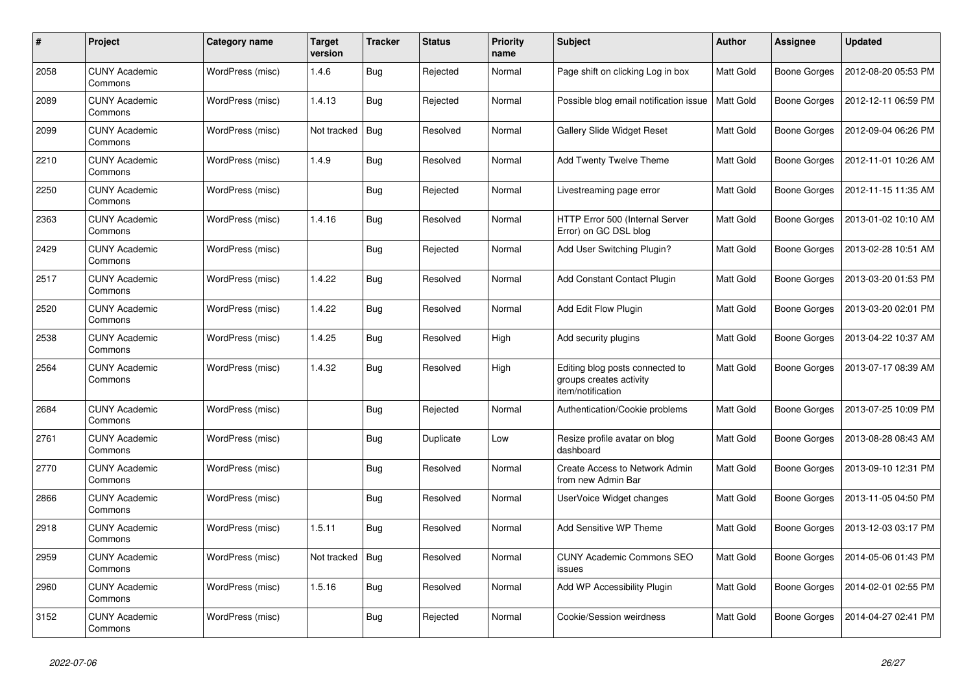| #    | Project                         | Category name    | Target<br>version | <b>Tracker</b> | <b>Status</b> | <b>Priority</b><br>name | <b>Subject</b>                                                                  | <b>Author</b> | Assignee            | <b>Updated</b>      |
|------|---------------------------------|------------------|-------------------|----------------|---------------|-------------------------|---------------------------------------------------------------------------------|---------------|---------------------|---------------------|
| 2058 | <b>CUNY Academic</b><br>Commons | WordPress (misc) | 1.4.6             | <b>Bug</b>     | Rejected      | Normal                  | Page shift on clicking Log in box                                               | Matt Gold     | Boone Gorges        | 2012-08-20 05:53 PM |
| 2089 | <b>CUNY Academic</b><br>Commons | WordPress (misc) | 1.4.13            | Bug            | Rejected      | Normal                  | Possible blog email notification issue                                          | Matt Gold     | Boone Gorges        | 2012-12-11 06:59 PM |
| 2099 | <b>CUNY Academic</b><br>Commons | WordPress (misc) | Not tracked       | Bug            | Resolved      | Normal                  | Gallery Slide Widget Reset                                                      | Matt Gold     | Boone Gorges        | 2012-09-04 06:26 PM |
| 2210 | <b>CUNY Academic</b><br>Commons | WordPress (misc) | 1.4.9             | Bug            | Resolved      | Normal                  | <b>Add Twenty Twelve Theme</b>                                                  | Matt Gold     | Boone Gorges        | 2012-11-01 10:26 AM |
| 2250 | <b>CUNY Academic</b><br>Commons | WordPress (misc) |                   | <b>Bug</b>     | Rejected      | Normal                  | Livestreaming page error                                                        | Matt Gold     | Boone Gorges        | 2012-11-15 11:35 AM |
| 2363 | <b>CUNY Academic</b><br>Commons | WordPress (misc) | 1.4.16            | <b>Bug</b>     | Resolved      | Normal                  | HTTP Error 500 (Internal Server<br>Error) on GC DSL blog                        | Matt Gold     | Boone Gorges        | 2013-01-02 10:10 AM |
| 2429 | <b>CUNY Academic</b><br>Commons | WordPress (misc) |                   | <b>Bug</b>     | Rejected      | Normal                  | Add User Switching Plugin?                                                      | Matt Gold     | Boone Gorges        | 2013-02-28 10:51 AM |
| 2517 | <b>CUNY Academic</b><br>Commons | WordPress (misc) | 1.4.22            | <b>Bug</b>     | Resolved      | Normal                  | <b>Add Constant Contact Plugin</b>                                              | Matt Gold     | Boone Gorges        | 2013-03-20 01:53 PM |
| 2520 | <b>CUNY Academic</b><br>Commons | WordPress (misc) | 1.4.22            | Bug            | Resolved      | Normal                  | Add Edit Flow Plugin                                                            | Matt Gold     | Boone Gorges        | 2013-03-20 02:01 PM |
| 2538 | <b>CUNY Academic</b><br>Commons | WordPress (misc) | 1.4.25            | Bug            | Resolved      | High                    | Add security plugins                                                            | Matt Gold     | Boone Gorges        | 2013-04-22 10:37 AM |
| 2564 | <b>CUNY Academic</b><br>Commons | WordPress (misc) | 1.4.32            | Bug            | Resolved      | High                    | Editing blog posts connected to<br>groups creates activity<br>item/notification | Matt Gold     | Boone Gorges        | 2013-07-17 08:39 AM |
| 2684 | <b>CUNY Academic</b><br>Commons | WordPress (misc) |                   | <b>Bug</b>     | Rejected      | Normal                  | Authentication/Cookie problems                                                  | Matt Gold     | Boone Gorges        | 2013-07-25 10:09 PM |
| 2761 | <b>CUNY Academic</b><br>Commons | WordPress (misc) |                   | <b>Bug</b>     | Duplicate     | Low                     | Resize profile avatar on blog<br>dashboard                                      | Matt Gold     | Boone Gorges        | 2013-08-28 08:43 AM |
| 2770 | <b>CUNY Academic</b><br>Commons | WordPress (misc) |                   | Bug            | Resolved      | Normal                  | Create Access to Network Admin<br>from new Admin Bar                            | Matt Gold     | Boone Gorges        | 2013-09-10 12:31 PM |
| 2866 | <b>CUNY Academic</b><br>Commons | WordPress (misc) |                   | <b>Bug</b>     | Resolved      | Normal                  | UserVoice Widget changes                                                        | Matt Gold     | Boone Gorges        | 2013-11-05 04:50 PM |
| 2918 | <b>CUNY Academic</b><br>Commons | WordPress (misc) | 1.5.11            | Bug            | Resolved      | Normal                  | Add Sensitive WP Theme                                                          | Matt Gold     | Boone Gorges        | 2013-12-03 03:17 PM |
| 2959 | <b>CUNY Academic</b><br>Commons | WordPress (misc) | Not tracked       | Bug            | Resolved      | Normal                  | <b>CUNY Academic Commons SEO</b><br>issues                                      | Matt Gold     | <b>Boone Gorges</b> | 2014-05-06 01:43 PM |
| 2960 | <b>CUNY Academic</b><br>Commons | WordPress (misc) | 1.5.16            | <b>Bug</b>     | Resolved      | Normal                  | Add WP Accessibility Plugin                                                     | Matt Gold     | Boone Gorges        | 2014-02-01 02:55 PM |
| 3152 | <b>CUNY Academic</b><br>Commons | WordPress (misc) |                   | <b>Bug</b>     | Rejected      | Normal                  | Cookie/Session weirdness                                                        | Matt Gold     | Boone Gorges        | 2014-04-27 02:41 PM |